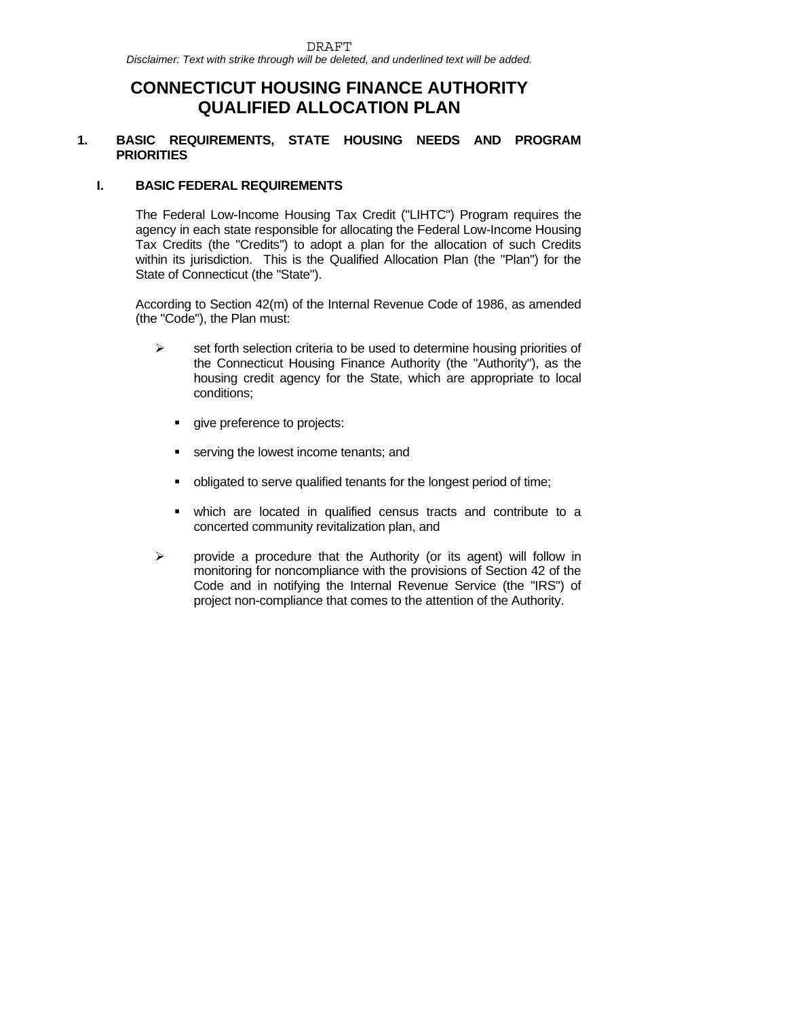# **CONNECTICUT HOUSING FINANCE AUTHORITY QUALIFIED ALLOCATION PLAN**

### **1. BASIC REQUIREMENTS, STATE HOUSING NEEDS AND PROGRAM PRIORITIES**

## **I. BASIC FEDERAL REQUIREMENTS**

The Federal Low-Income Housing Tax Credit ("LIHTC") Program requires the agency in each state responsible for allocating the Federal Low-Income Housing Tax Credits (the "Credits") to adopt a plan for the allocation of such Credits within its jurisdiction. This is the Qualified Allocation Plan (the "Plan") for the State of Connecticut (the "State").

According to Section 42(m) of the Internal Revenue Code of 1986, as amended (the "Code"), the Plan must:

- $\triangleright$  set forth selection criteria to be used to determine housing priorities of the Connecticut Housing Finance Authority (the "Authority"), as the housing credit agency for the State, which are appropriate to local conditions;
	- give preference to projects:
	- serving the lowest income tenants; and
	- obligated to serve qualified tenants for the longest period of time;
	- which are located in qualified census tracts and contribute to a concerted community revitalization plan, and
- $\triangleright$  provide a procedure that the Authority (or its agent) will follow in monitoring for noncompliance with the provisions of Section 42 of the Code and in notifying the Internal Revenue Service (the "IRS") of project non-compliance that comes to the attention of the Authority.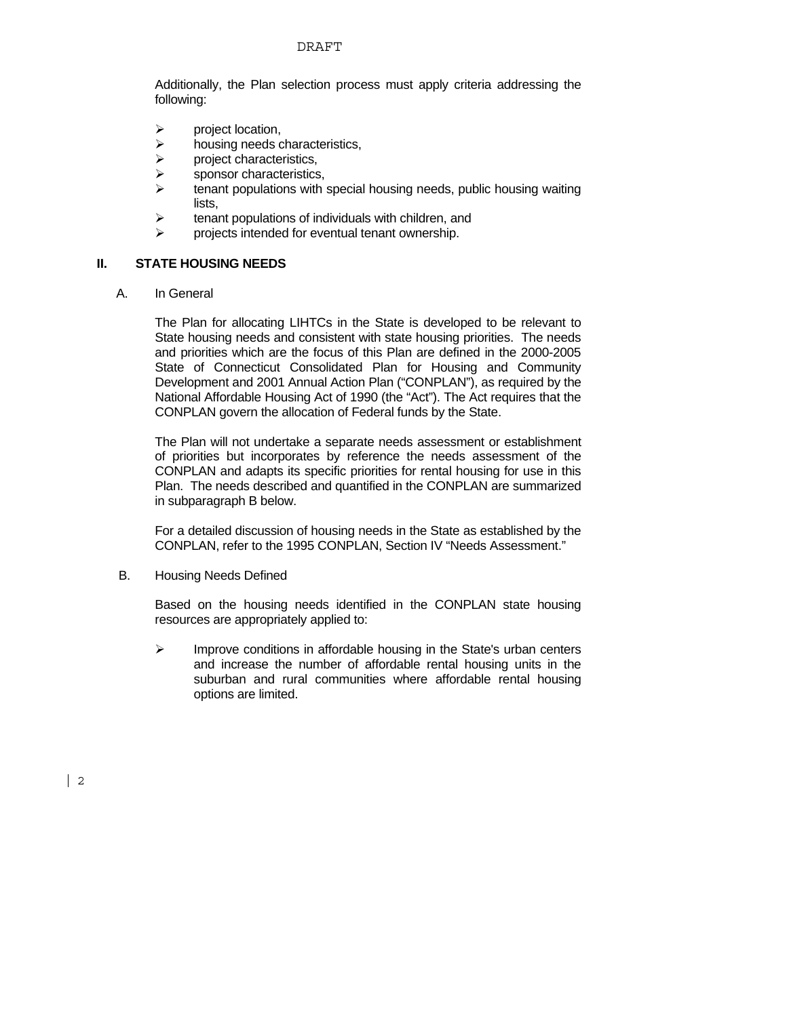Additionally, the Plan selection process must apply criteria addressing the following:

- $\triangleright$  project location,<br> $\triangleright$  housing needs on
- $\geq$  housing needs characteristics,<br> $\geq$  project characteristics.
- project characteristics.
- $\triangleright$  sponsor characteristics,
- $\triangleright$  tenant populations with special housing needs, public housing waiting lists,
- $\triangleright$  tenant populations of individuals with children, and
- $\triangleright$  projects intended for eventual tenant ownership.

### **II. STATE HOUSING NEEDS**

A. In General

The Plan for allocating LIHTCs in the State is developed to be relevant to State housing needs and consistent with state housing priorities. The needs and priorities which are the focus of this Plan are defined in the 2000-2005 State of Connecticut Consolidated Plan for Housing and Community Development and 2001 Annual Action Plan ("CONPLAN"), as required by the National Affordable Housing Act of 1990 (the "Act"). The Act requires that the CONPLAN govern the allocation of Federal funds by the State.

The Plan will not undertake a separate needs assessment or establishment of priorities but incorporates by reference the needs assessment of the CONPLAN and adapts its specific priorities for rental housing for use in this Plan. The needs described and quantified in the CONPLAN are summarized in subparagraph B below.

For a detailed discussion of housing needs in the State as established by the CONPLAN, refer to the 1995 CONPLAN, Section IV "Needs Assessment."

B. Housing Needs Defined

Based on the housing needs identified in the CONPLAN state housing resources are appropriately applied to:

¾ Improve conditions in affordable housing in the State's urban centers and increase the number of affordable rental housing units in the suburban and rural communities where affordable rental housing options are limited.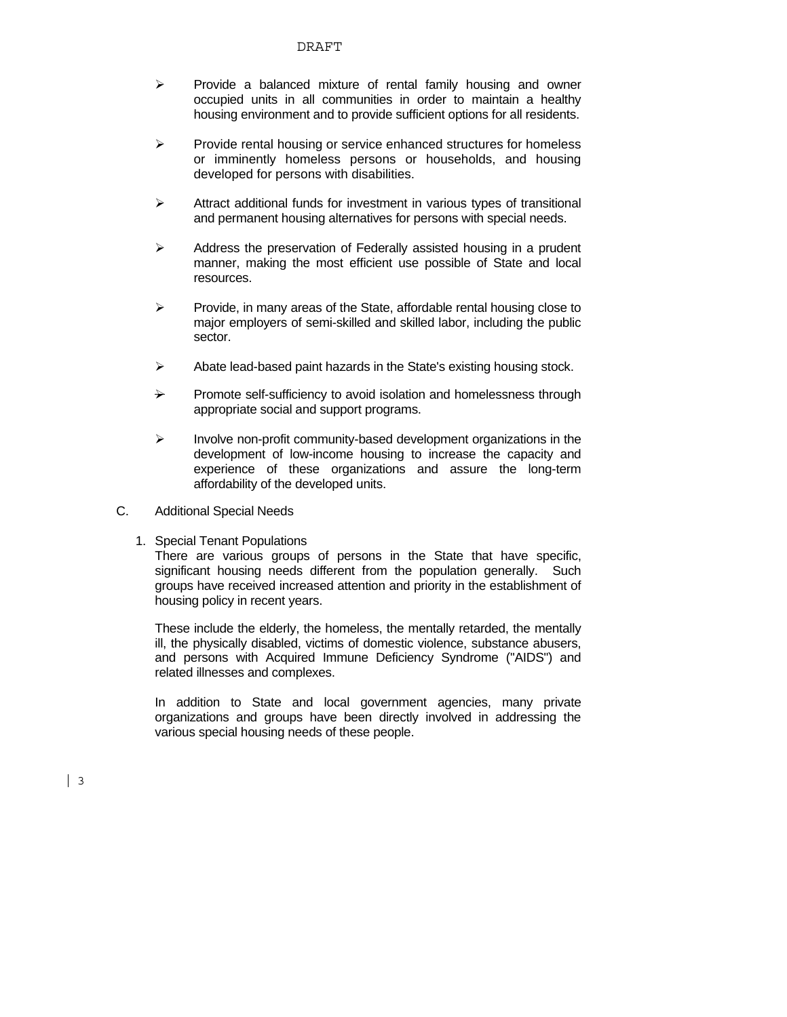- $\triangleright$  Provide a balanced mixture of rental family housing and owner occupied units in all communities in order to maintain a healthy housing environment and to provide sufficient options for all residents.
- ¾ Provide rental housing or service enhanced structures for homeless or imminently homeless persons or households, and housing developed for persons with disabilities.
- $\triangleright$  Attract additional funds for investment in various types of transitional and permanent housing alternatives for persons with special needs.
- $\triangleright$  Address the preservation of Federally assisted housing in a prudent manner, making the most efficient use possible of State and local resources.
- $\triangleright$  Provide, in many areas of the State, affordable rental housing close to major employers of semi-skilled and skilled labor, including the public sector.
- $\triangleright$  Abate lead-based paint hazards in the State's existing housing stock.
- $\rightarrow$  Promote self-sufficiency to avoid isolation and homelessness through appropriate social and support programs.
- $\triangleright$  Involve non-profit community-based development organizations in the development of low-income housing to increase the capacity and experience of these organizations and assure the long-term affordability of the developed units.
- C. Additional Special Needs
	- 1. Special Tenant Populations

 There are various groups of persons in the State that have specific, significant housing needs different from the population generally. Such groups have received increased attention and priority in the establishment of housing policy in recent years.

 These include the elderly, the homeless, the mentally retarded, the mentally ill, the physically disabled, victims of domestic violence, substance abusers, and persons with Acquired Immune Deficiency Syndrome ("AIDS") and related illnesses and complexes.

 In addition to State and local government agencies, many private organizations and groups have been directly involved in addressing the various special housing needs of these people.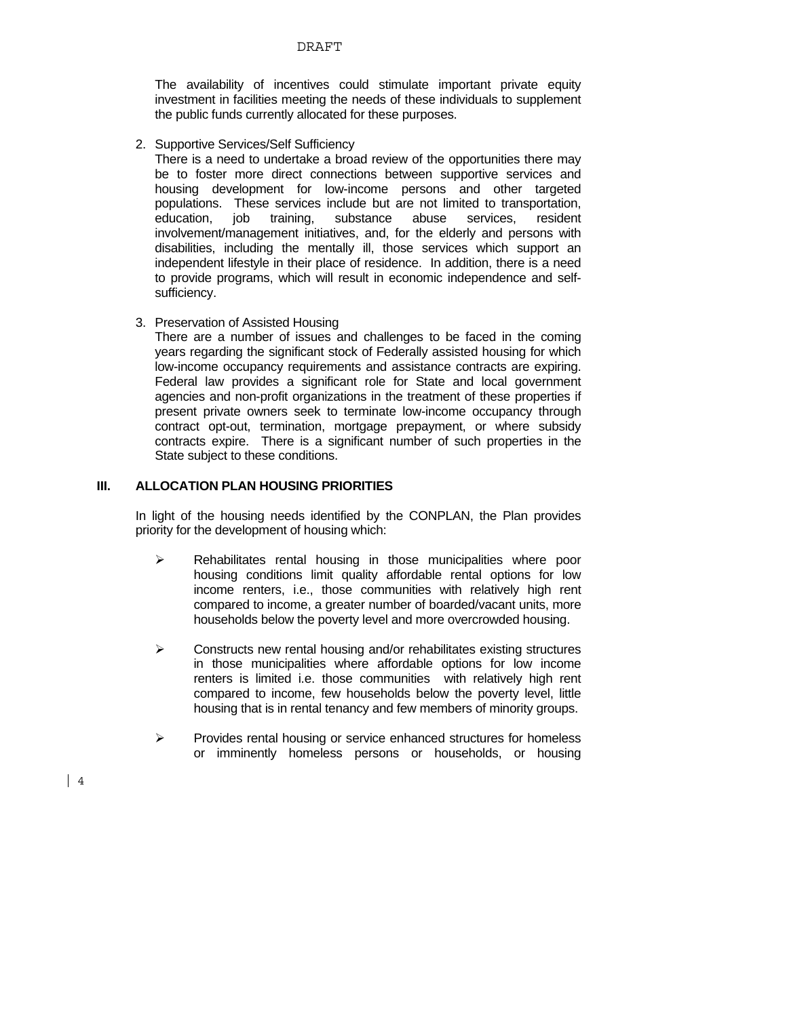The availability of incentives could stimulate important private equity investment in facilities meeting the needs of these individuals to supplement the public funds currently allocated for these purposes.

2. Supportive Services/Self Sufficiency

 There is a need to undertake a broad review of the opportunities there may be to foster more direct connections between supportive services and housing development for low-income persons and other targeted populations. These services include but are not limited to transportation, education, job training, substance abuse services, resident involvement/management initiatives, and, for the elderly and persons with disabilities, including the mentally ill, those services which support an independent lifestyle in their place of residence. In addition, there is a need to provide programs, which will result in economic independence and selfsufficiency.

3. Preservation of Assisted Housing

 There are a number of issues and challenges to be faced in the coming years regarding the significant stock of Federally assisted housing for which low-income occupancy requirements and assistance contracts are expiring. Federal law provides a significant role for State and local government agencies and non-profit organizations in the treatment of these properties if present private owners seek to terminate low-income occupancy through contract opt-out, termination, mortgage prepayment, or where subsidy contracts expire. There is a significant number of such properties in the State subject to these conditions.

### **III. ALLOCATION PLAN HOUSING PRIORITIES**

In light of the housing needs identified by the CONPLAN, the Plan provides priority for the development of housing which:

- $\triangleright$  Rehabilitates rental housing in those municipalities where poor housing conditions limit quality affordable rental options for low income renters, i.e., those communities with relatively high rent compared to income, a greater number of boarded/vacant units, more households below the poverty level and more overcrowded housing.
- ¾ Constructs new rental housing and/or rehabilitates existing structures in those municipalities where affordable options for low income renters is limited i.e. those communities with relatively high rent compared to income, few households below the poverty level, little housing that is in rental tenancy and few members of minority groups.
- $\triangleright$  Provides rental housing or service enhanced structures for homeless or imminently homeless persons or households, or housing

4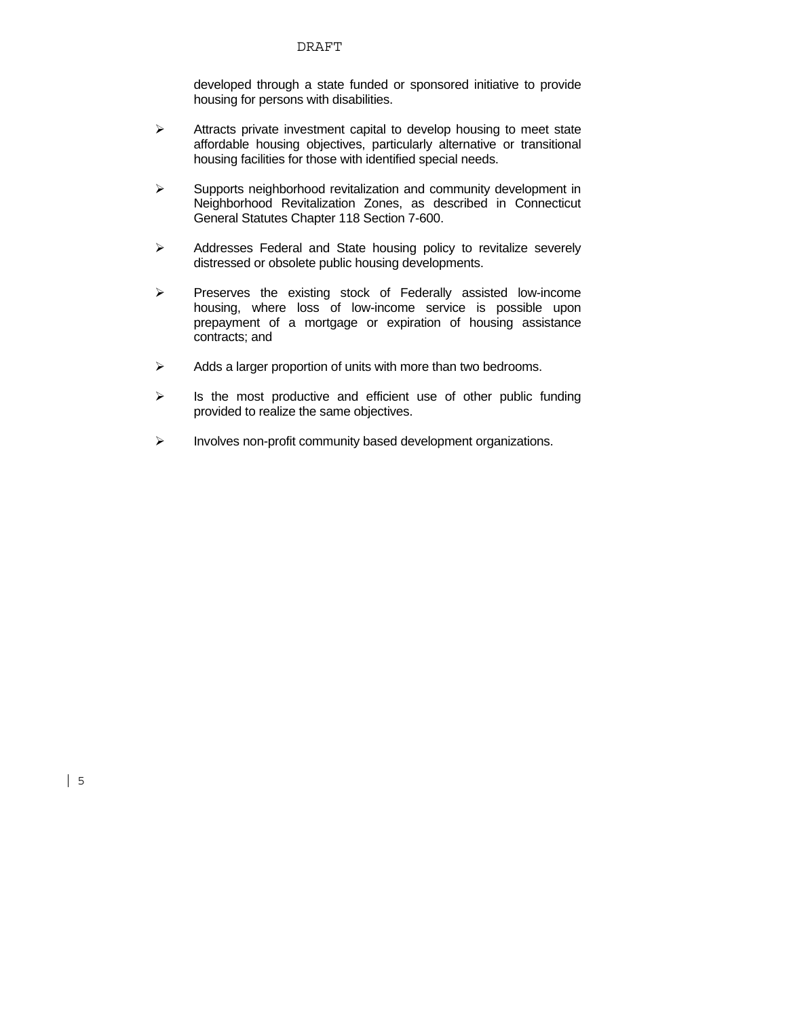developed through a state funded or sponsored initiative to provide housing for persons with disabilities.

- $\triangleright$  Attracts private investment capital to develop housing to meet state affordable housing objectives, particularly alternative or transitional housing facilities for those with identified special needs.
- ¾ Supports neighborhood revitalization and community development in Neighborhood Revitalization Zones, as described in Connecticut General Statutes Chapter 118 Section 7-600.
- ¾ Addresses Federal and State housing policy to revitalize severely distressed or obsolete public housing developments.
- ¾ Preserves the existing stock of Federally assisted low-income housing, where loss of low-income service is possible upon prepayment of a mortgage or expiration of housing assistance contracts; and
- $\triangleright$  Adds a larger proportion of units with more than two bedrooms.
- $\triangleright$  Is the most productive and efficient use of other public funding provided to realize the same objectives.
- ¾ Involves non-profit community based development organizations.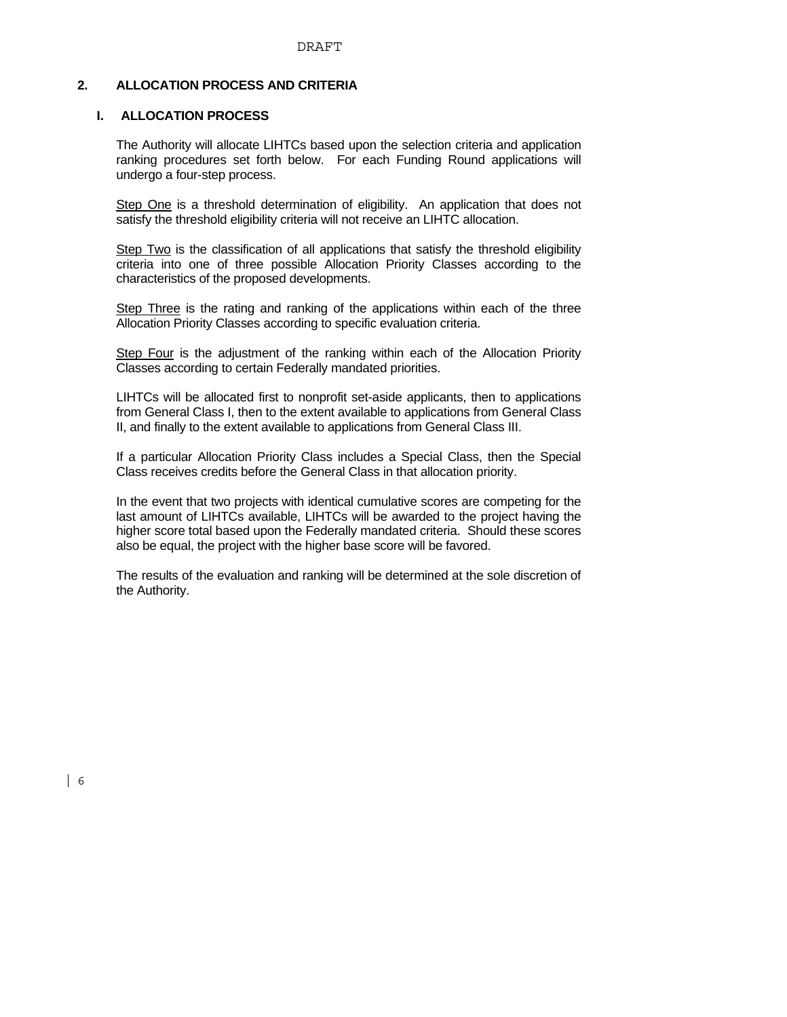### **2. ALLOCATION PROCESS AND CRITERIA**

### **I. ALLOCATION PROCESS**

The Authority will allocate LIHTCs based upon the selection criteria and application ranking procedures set forth below. For each Funding Round applications will undergo a four-step process.

Step One is a threshold determination of eligibility. An application that does not satisfy the threshold eligibility criteria will not receive an LIHTC allocation.

Step Two is the classification of all applications that satisfy the threshold eligibility criteria into one of three possible Allocation Priority Classes according to the characteristics of the proposed developments.

Step Three is the rating and ranking of the applications within each of the three Allocation Priority Classes according to specific evaluation criteria.

Step Four is the adjustment of the ranking within each of the Allocation Priority Classes according to certain Federally mandated priorities.

LIHTCs will be allocated first to nonprofit set-aside applicants, then to applications from General Class I, then to the extent available to applications from General Class II, and finally to the extent available to applications from General Class III.

If a particular Allocation Priority Class includes a Special Class, then the Special Class receives credits before the General Class in that allocation priority.

In the event that two projects with identical cumulative scores are competing for the last amount of LIHTCs available, LIHTCs will be awarded to the project having the higher score total based upon the Federally mandated criteria. Should these scores also be equal, the project with the higher base score will be favored.

The results of the evaluation and ranking will be determined at the sole discretion of the Authority.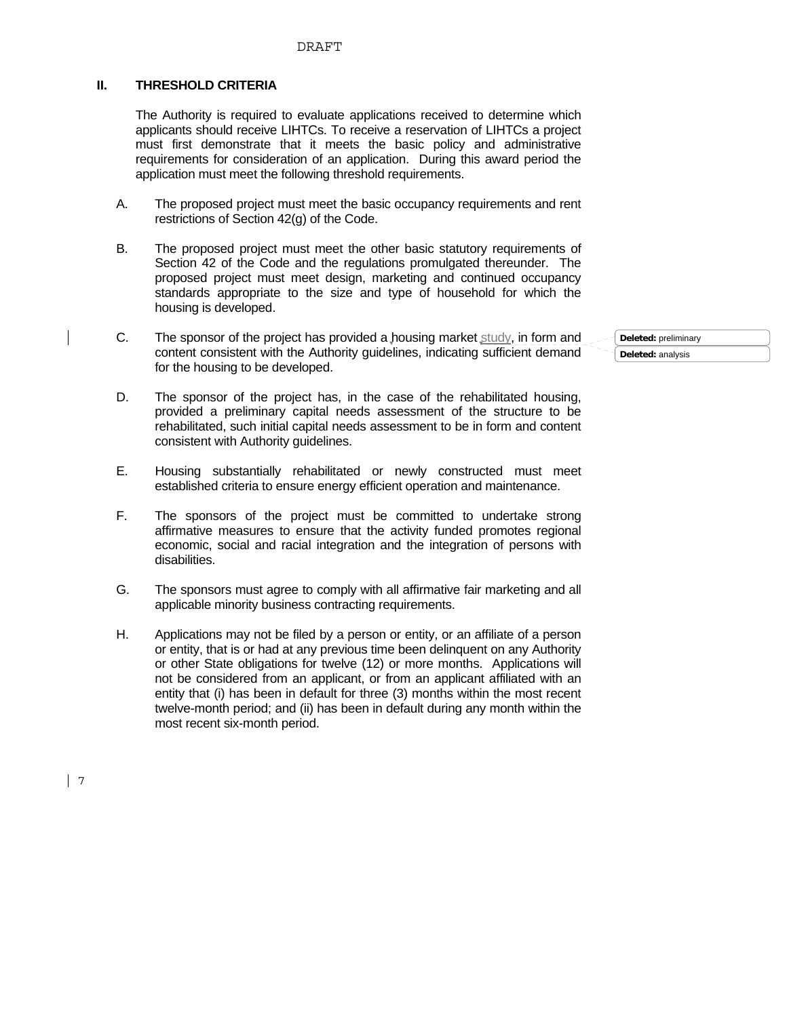## **II. THRESHOLD CRITERIA**

The Authority is required to evaluate applications received to determine which applicants should receive LIHTCs. To receive a reservation of LIHTCs a project must first demonstrate that it meets the basic policy and administrative requirements for consideration of an application. During this award period the application must meet the following threshold requirements.

- A. The proposed project must meet the basic occupancy requirements and rent restrictions of Section 42(g) of the Code.
- B. The proposed project must meet the other basic statutory requirements of Section 42 of the Code and the regulations promulgated thereunder. The proposed project must meet design, marketing and continued occupancy standards appropriate to the size and type of household for which the housing is developed.
- C. The sponsor of the project has provided a housing market  $study$ , in form and content consistent with the Authority guidelines, indicating sufficient demand for the housing to be developed.
- D. The sponsor of the project has, in the case of the rehabilitated housing, provided a preliminary capital needs assessment of the structure to be rehabilitated, such initial capital needs assessment to be in form and content consistent with Authority guidelines.
- E. Housing substantially rehabilitated or newly constructed must meet established criteria to ensure energy efficient operation and maintenance.
- F. The sponsors of the project must be committed to undertake strong affirmative measures to ensure that the activity funded promotes regional economic, social and racial integration and the integration of persons with disabilities.
- G. The sponsors must agree to comply with all affirmative fair marketing and all applicable minority business contracting requirements.
- H. Applications may not be filed by a person or entity, or an affiliate of a person or entity, that is or had at any previous time been delinquent on any Authority or other State obligations for twelve (12) or more months. Applications will not be considered from an applicant, or from an applicant affiliated with an entity that (i) has been in default for three (3) months within the most recent twelve-month period; and (ii) has been in default during any month within the most recent six-month period.

**Deleted:** preliminary **Deleted:** analysis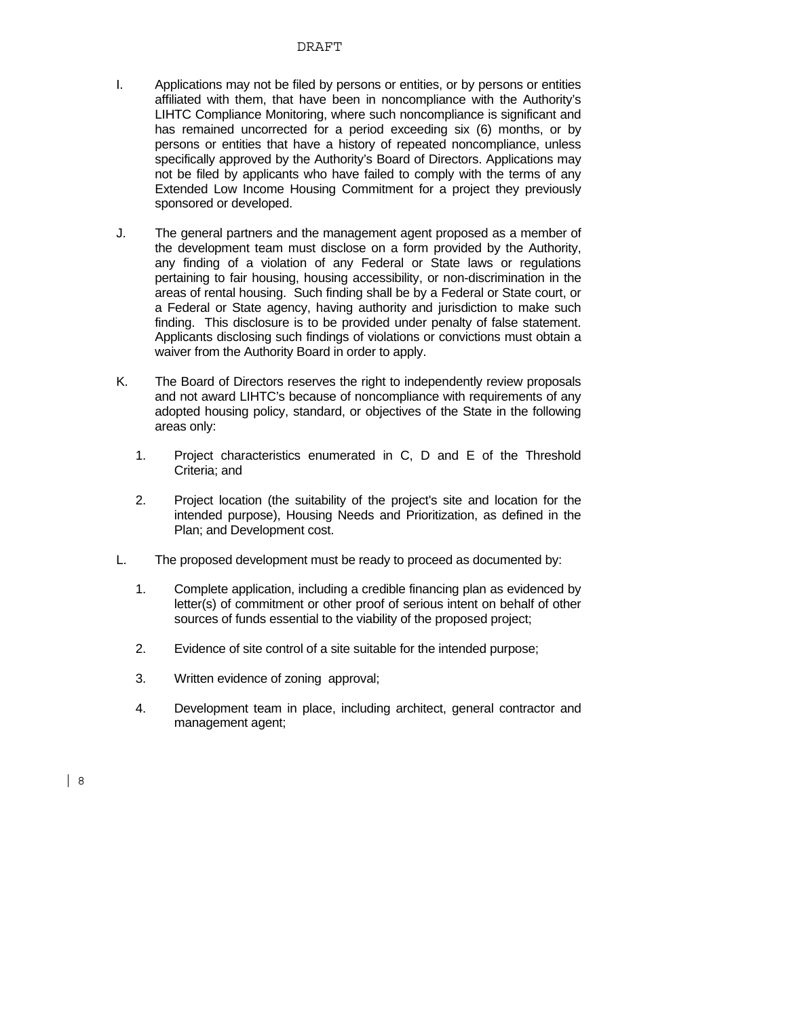- I. Applications may not be filed by persons or entities, or by persons or entities affiliated with them, that have been in noncompliance with the Authority's LIHTC Compliance Monitoring, where such noncompliance is significant and has remained uncorrected for a period exceeding six (6) months, or by persons or entities that have a history of repeated noncompliance, unless specifically approved by the Authority's Board of Directors. Applications may not be filed by applicants who have failed to comply with the terms of any Extended Low Income Housing Commitment for a project they previously sponsored or developed.
- J. The general partners and the management agent proposed as a member of the development team must disclose on a form provided by the Authority, any finding of a violation of any Federal or State laws or regulations pertaining to fair housing, housing accessibility, or non-discrimination in the areas of rental housing. Such finding shall be by a Federal or State court, or a Federal or State agency, having authority and jurisdiction to make such finding. This disclosure is to be provided under penalty of false statement. Applicants disclosing such findings of violations or convictions must obtain a waiver from the Authority Board in order to apply.
- K. The Board of Directors reserves the right to independently review proposals and not award LIHTC's because of noncompliance with requirements of any adopted housing policy, standard, or objectives of the State in the following areas only:
	- 1. Project characteristics enumerated in C, D and E of the Threshold Criteria; and
	- 2. Project location (the suitability of the project's site and location for the intended purpose), Housing Needs and Prioritization, as defined in the Plan; and Development cost.
- L. The proposed development must be ready to proceed as documented by:
	- 1. Complete application, including a credible financing plan as evidenced by letter(s) of commitment or other proof of serious intent on behalf of other sources of funds essential to the viability of the proposed project;
	- 2. Evidence of site control of a site suitable for the intended purpose;
	- 3. Written evidence of zoning approval;
	- 4. Development team in place, including architect, general contractor and management agent;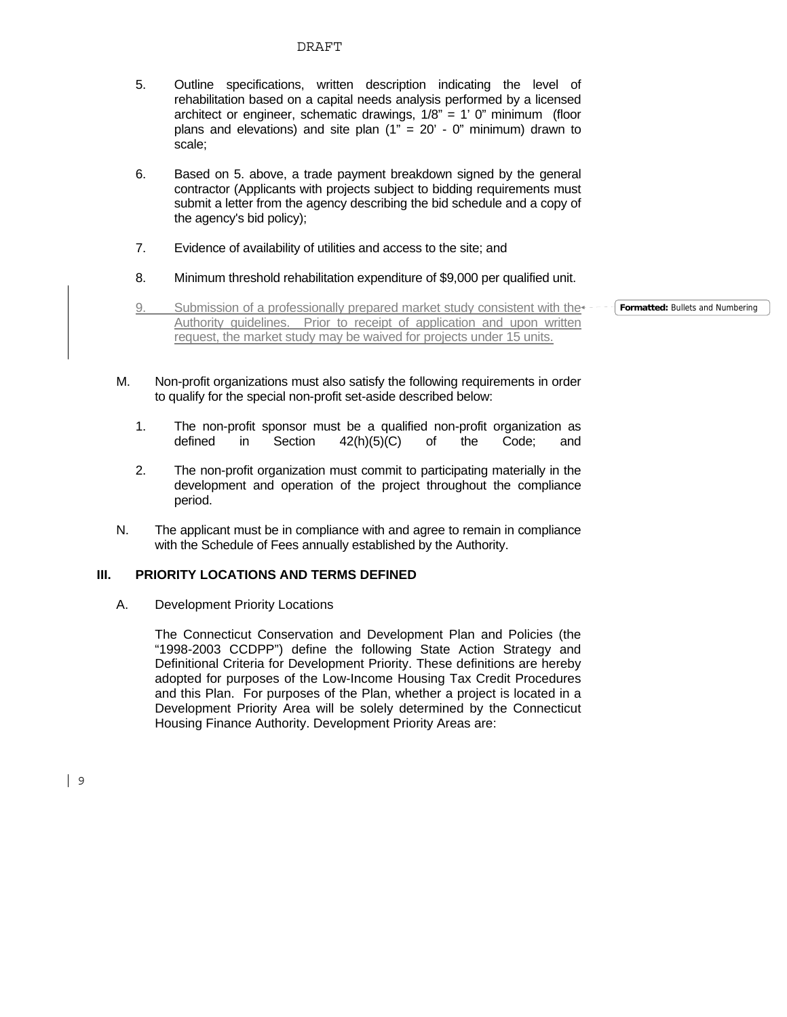- 5. Outline specifications, written description indicating the level of rehabilitation based on a capital needs analysis performed by a licensed architect or engineer, schematic drawings, 1/8" = 1' 0" minimum (floor plans and elevations) and site plan  $(1^{"}= 20' - 0"$  minimum) drawn to scale;
- 6. Based on 5. above, a trade payment breakdown signed by the general contractor (Applicants with projects subject to bidding requirements must submit a letter from the agency describing the bid schedule and a copy of the agency's bid policy);
- 7. Evidence of availability of utilities and access to the site; and
- 8. Minimum threshold rehabilitation expenditure of \$9,000 per qualified unit.
- 9. Submission of a professionally prepared market study consistent with the  $\epsilon$ -Authority guidelines. Prior to receipt of application and upon written request, the market study may be waived for projects under 15 units.

**Formatted:** Bullets and Numbering

- M. Non-profit organizations must also satisfy the following requirements in order to qualify for the special non-profit set-aside described below:
	- 1. The non-profit sponsor must be a qualified non-profit organization as defined in Section 42(h)(5)(C) of the Code; and
	- 2. The non-profit organization must commit to participating materially in the development and operation of the project throughout the compliance period.
- N. The applicant must be in compliance with and agree to remain in compliance with the Schedule of Fees annually established by the Authority.

### **III. PRIORITY LOCATIONS AND TERMS DEFINED**

A. Development Priority Locations

The Connecticut Conservation and Development Plan and Policies (the "1998-2003 CCDPP") define the following State Action Strategy and Definitional Criteria for Development Priority. These definitions are hereby adopted for purposes of the Low-Income Housing Tax Credit Procedures and this Plan. For purposes of the Plan, whether a project is located in a Development Priority Area will be solely determined by the Connecticut Housing Finance Authority. Development Priority Areas are:

9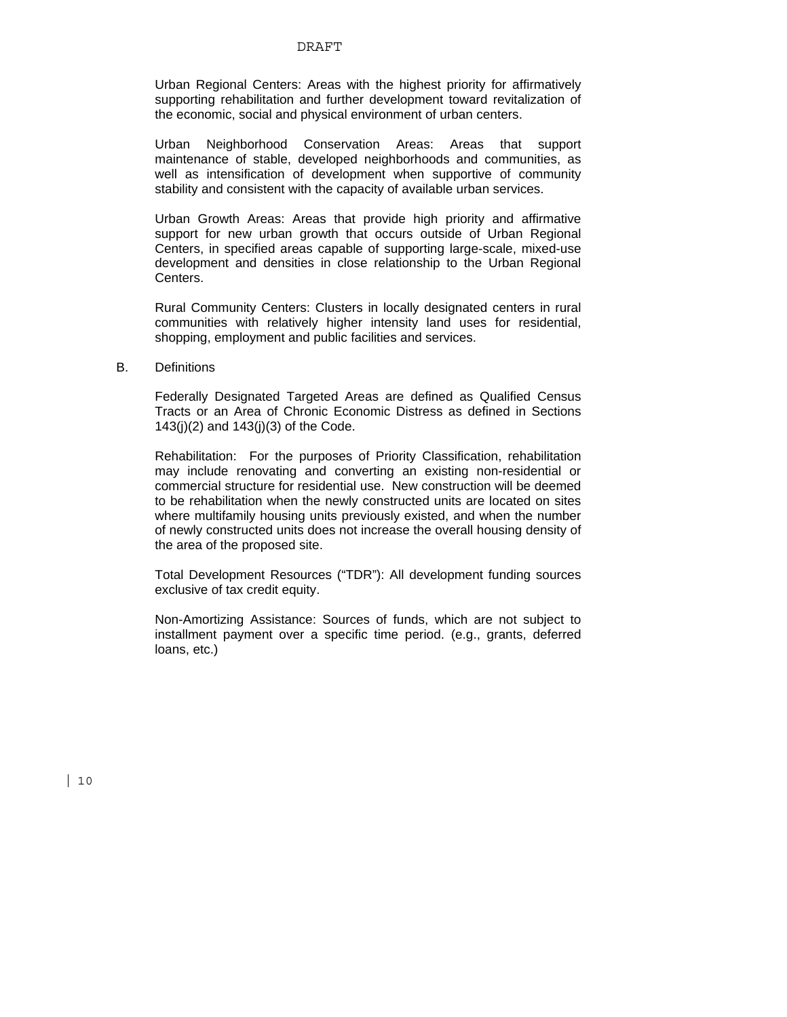Urban Regional Centers: Areas with the highest priority for affirmatively supporting rehabilitation and further development toward revitalization of the economic, social and physical environment of urban centers.

Urban Neighborhood Conservation Areas: Areas that support maintenance of stable, developed neighborhoods and communities, as well as intensification of development when supportive of community stability and consistent with the capacity of available urban services.

Urban Growth Areas: Areas that provide high priority and affirmative support for new urban growth that occurs outside of Urban Regional Centers, in specified areas capable of supporting large-scale, mixed-use development and densities in close relationship to the Urban Regional Centers.

Rural Community Centers: Clusters in locally designated centers in rural communities with relatively higher intensity land uses for residential, shopping, employment and public facilities and services.

B. Definitions

Federally Designated Targeted Areas are defined as Qualified Census Tracts or an Area of Chronic Economic Distress as defined in Sections 143(j)(2) and 143(j)(3) of the Code.

Rehabilitation: For the purposes of Priority Classification, rehabilitation may include renovating and converting an existing non-residential or commercial structure for residential use. New construction will be deemed to be rehabilitation when the newly constructed units are located on sites where multifamily housing units previously existed, and when the number of newly constructed units does not increase the overall housing density of the area of the proposed site.

Total Development Resources ("TDR"): All development funding sources exclusive of tax credit equity.

Non-Amortizing Assistance: Sources of funds, which are not subject to installment payment over a specific time period. (e.g., grants, deferred loans, etc.)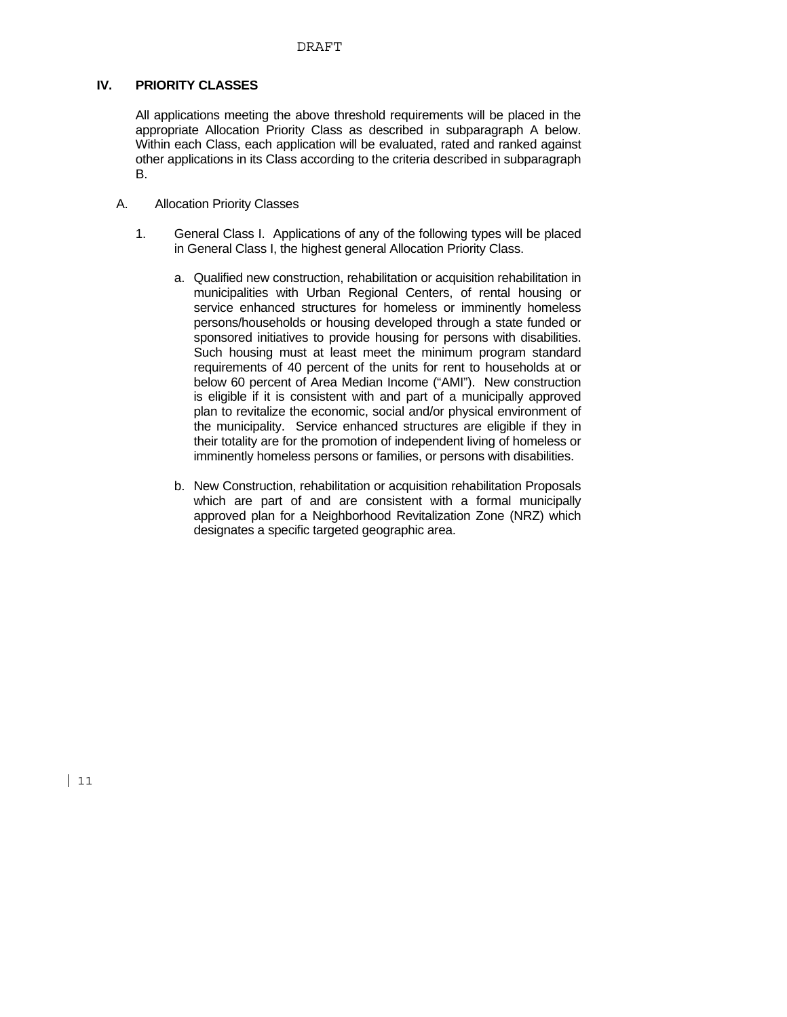## **IV. PRIORITY CLASSES**

All applications meeting the above threshold requirements will be placed in the appropriate Allocation Priority Class as described in subparagraph A below. Within each Class, each application will be evaluated, rated and ranked against other applications in its Class according to the criteria described in subparagraph B.

- A. Allocation Priority Classes
	- 1. General Class I. Applications of any of the following types will be placed in General Class I, the highest general Allocation Priority Class.
		- a. Qualified new construction, rehabilitation or acquisition rehabilitation in municipalities with Urban Regional Centers, of rental housing or service enhanced structures for homeless or imminently homeless persons/households or housing developed through a state funded or sponsored initiatives to provide housing for persons with disabilities. Such housing must at least meet the minimum program standard requirements of 40 percent of the units for rent to households at or below 60 percent of Area Median Income ("AMI"). New construction is eligible if it is consistent with and part of a municipally approved plan to revitalize the economic, social and/or physical environment of the municipality. Service enhanced structures are eligible if they in their totality are for the promotion of independent living of homeless or imminently homeless persons or families, or persons with disabilities.
		- b. New Construction, rehabilitation or acquisition rehabilitation Proposals which are part of and are consistent with a formal municipally approved plan for a Neighborhood Revitalization Zone (NRZ) which designates a specific targeted geographic area.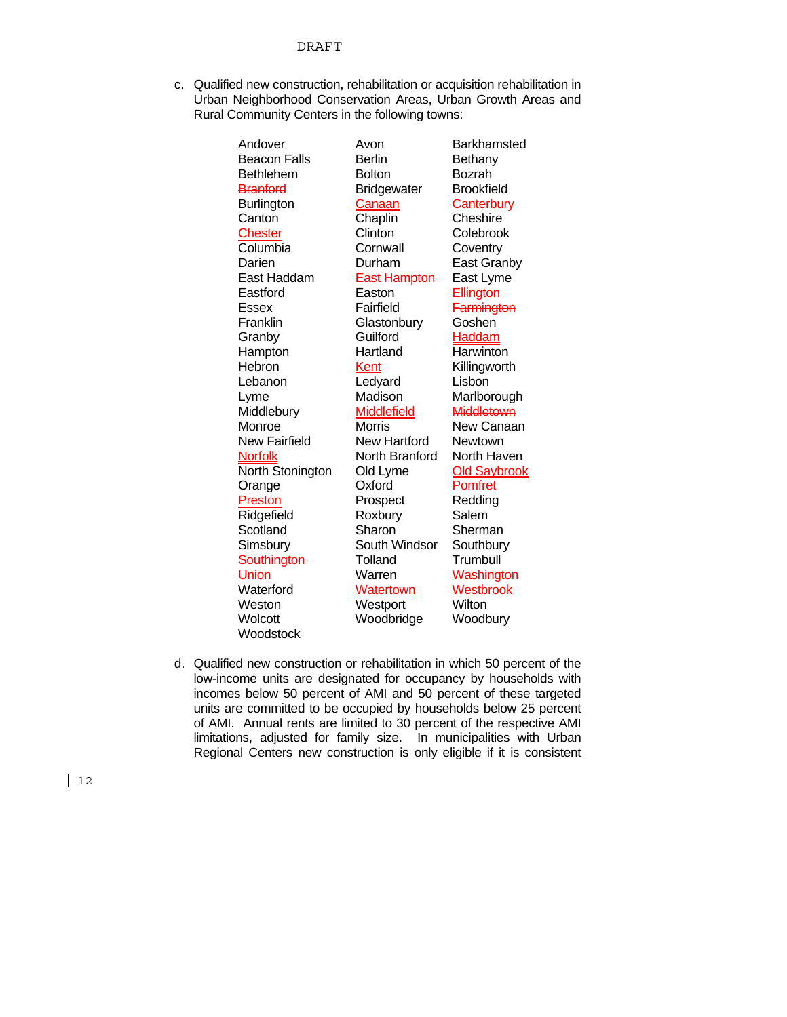c. Qualified new construction, rehabilitation or acquisition rehabilitation in Urban Neighborhood Conservation Areas, Urban Growth Areas and Rural Community Centers in the following towns:

| Andover             | Avon                | <b>Barkhamsted</b>  |
|---------------------|---------------------|---------------------|
| <b>Beacon Falls</b> | <b>Berlin</b>       | Bethany             |
| <b>Bethlehem</b>    | <b>Bolton</b>       | Bozrah              |
| Branford            | <b>Bridgewater</b>  | <b>Brookfield</b>   |
| <b>Burlington</b>   | <u>Canaan</u>       | <b>Canterbury</b>   |
| Canton              | Chaplin             | Cheshire            |
| <b>Chester</b>      | Clinton             | Colebrook           |
| Columbia            | Cornwall            | Coventry            |
| Darien              | Durham              | East Granby         |
| East Haddam         | <b>East Hampton</b> | East Lyme           |
| Eastford            | Easton              | <b>Ellington</b>    |
| Essex               | Fairfield           | Farmington          |
| Franklin            | Glastonbury         | Goshen              |
| Granby              | Guilford            | <b>Haddam</b>       |
| Hampton             | Hartland            | Harwinton           |
| Hebron              | Kent                | Killingworth        |
| Lebanon             | Ledyard             | Lisbon              |
| Lyme                | Madison             | Marlborough         |
| Middlebury          | <b>Middlefield</b>  | Middletown          |
| Monroe              | Morris              | New Canaan          |
| New Fairfield       | New Hartford        | Newtown             |
| <b>Norfolk</b>      | North Branford      | North Haven         |
| North Stonington    | Old Lyme            | <b>Old Saybrook</b> |
| Orange              | Oxford              | Pomfret             |
| <b>Preston</b>      | Prospect            | Redding             |
| Ridgefield          | Roxbury             | Salem               |
| Scotland            | Sharon              | Sherman             |
| Simsbury            | South Windsor       | Southbury           |
| Southington         | Tolland             | Trumbull            |
| Union               | Warren              | Washington          |
| Waterford           | <b>Watertown</b>    | Westbrook           |
| Weston              | Westport            | Wilton              |
| Wolcott             | Woodbridge          | Woodbury            |
| Woodstock           |                     |                     |

d. Qualified new construction or rehabilitation in which 50 percent of the low-income units are designated for occupancy by households with incomes below 50 percent of AMI and 50 percent of these targeted units are committed to be occupied by households below 25 percent of AMI. Annual rents are limited to 30 percent of the respective AMI limitations, adjusted for family size. In municipalities with Urban Regional Centers new construction is only eligible if it is consistent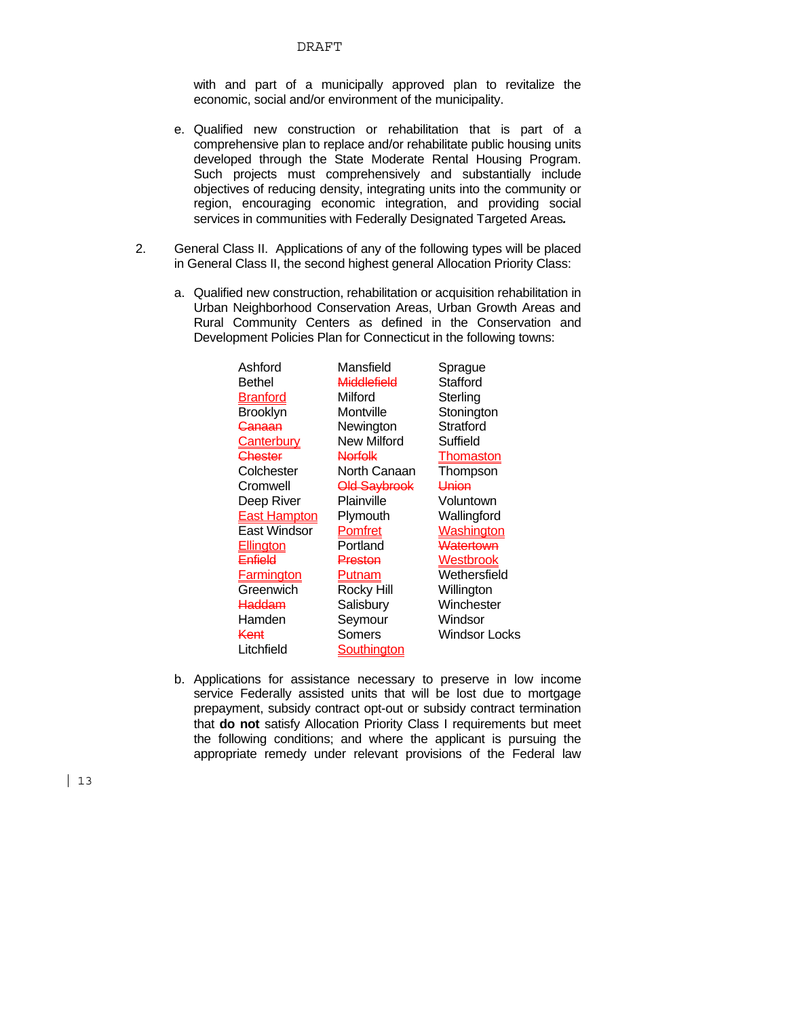with and part of a municipally approved plan to revitalize the economic, social and/or environment of the municipality.

- e. Qualified new construction or rehabilitation that is part of a comprehensive plan to replace and/or rehabilitate public housing units developed through the State Moderate Rental Housing Program. Such projects must comprehensively and substantially include objectives of reducing density, integrating units into the community or region, encouraging economic integration, and providing social services in communities with Federally Designated Targeted Areas*.*
- 2. General Class II. Applications of any of the following types will be placed in General Class II, the second highest general Allocation Priority Class:
	- a. Qualified new construction, rehabilitation or acquisition rehabilitation in Urban Neighborhood Conservation Areas, Urban Growth Areas and Rural Community Centers as defined in the Conservation and Development Policies Plan for Connecticut in the following towns:

| Ashford             | Mansfield          | Sprague           |
|---------------------|--------------------|-------------------|
| Bethel              | Middlefield        | Stafford          |
| <u>Branford</u>     | Milford            | Sterling          |
| Brooklyn            | Montville          | Stonington        |
| <del>Canaan</del>   | Newington          | Stratford         |
| <b>Canterbury</b>   | New Milford        | Suffield          |
| Chester             | <b>Norfolk</b>     | Thomaston         |
| Colchester          | North Canaan       | Thompson          |
| Cromwell            | Old Saybrook       | <del>Union</del>  |
| Deep River          | Plainville         | Voluntown         |
| <b>East Hampton</b> | Plymouth           | Wallingford       |
| East Windsor        | Pomfret            | <b>Washington</b> |
| <b>Ellington</b>    | Portland           | Watertown         |
| <del>Enfield</del>  | <del>Preston</del> | <u>Westbrook</u>  |
| <b>Farmington</b>   | Putnam             | Wethersfield      |
| Greenwich           | Rocky Hill         | Willington        |
| <b>Haddam</b>       | Salisbury          | Winchester        |
| Hamden              | Seymour            | Windsor           |
| Kent                | Somers             | Windsor Locks     |
| Litchfield          | Southington        |                   |

b. Applications for assistance necessary to preserve in low income service Federally assisted units that will be lost due to mortgage prepayment, subsidy contract opt-out or subsidy contract termination that **do not** satisfy Allocation Priority Class I requirements but meet the following conditions; and where the applicant is pursuing the appropriate remedy under relevant provisions of the Federal law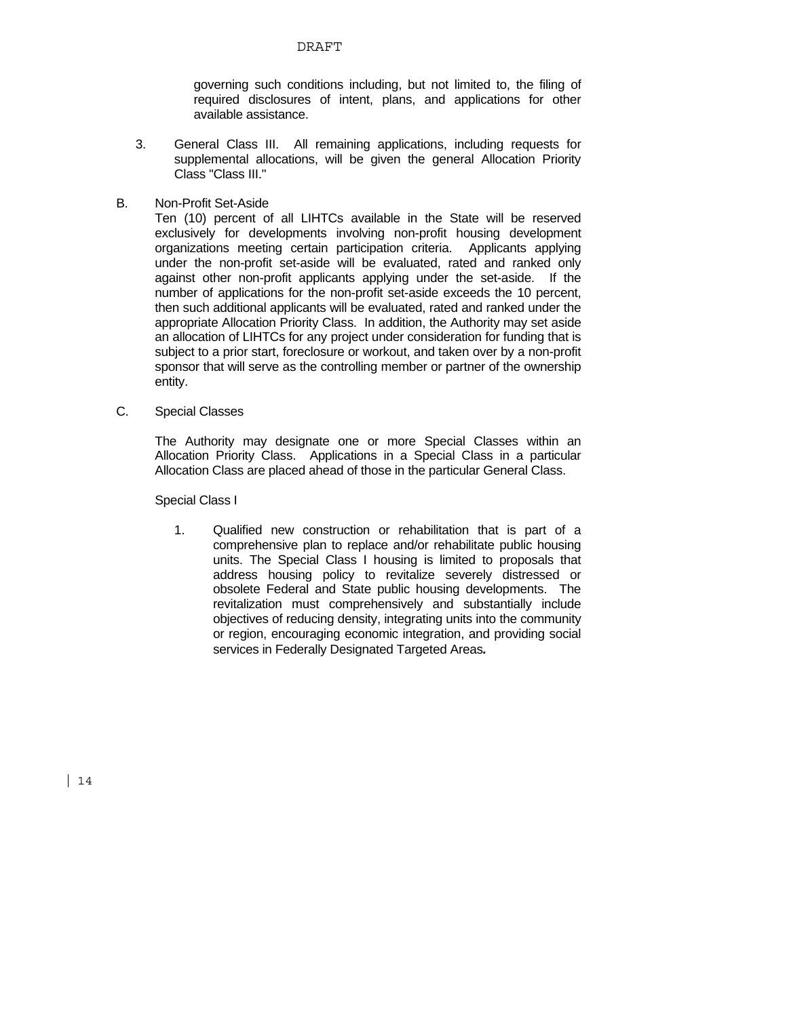governing such conditions including, but not limited to, the filing of required disclosures of intent, plans, and applications for other available assistance.

- 3. General Class III. All remaining applications, including requests for supplemental allocations, will be given the general Allocation Priority Class "Class III."
- B. Non-Profit Set-Aside

Ten (10) percent of all LIHTCs available in the State will be reserved exclusively for developments involving non-profit housing development organizations meeting certain participation criteria. Applicants applying under the non-profit set-aside will be evaluated, rated and ranked only against other non-profit applicants applying under the set-aside. If the number of applications for the non-profit set-aside exceeds the 10 percent, then such additional applicants will be evaluated, rated and ranked under the appropriate Allocation Priority Class. In addition, the Authority may set aside an allocation of LIHTCs for any project under consideration for funding that is subject to a prior start, foreclosure or workout, and taken over by a non-profit sponsor that will serve as the controlling member or partner of the ownership entity.

C. Special Classes

 The Authority may designate one or more Special Classes within an Allocation Priority Class. Applications in a Special Class in a particular Allocation Class are placed ahead of those in the particular General Class.

#### Special Class I

1. Qualified new construction or rehabilitation that is part of a comprehensive plan to replace and/or rehabilitate public housing units. The Special Class I housing is limited to proposals that address housing policy to revitalize severely distressed or obsolete Federal and State public housing developments. The revitalization must comprehensively and substantially include objectives of reducing density, integrating units into the community or region, encouraging economic integration, and providing social services in Federally Designated Targeted Areas*.*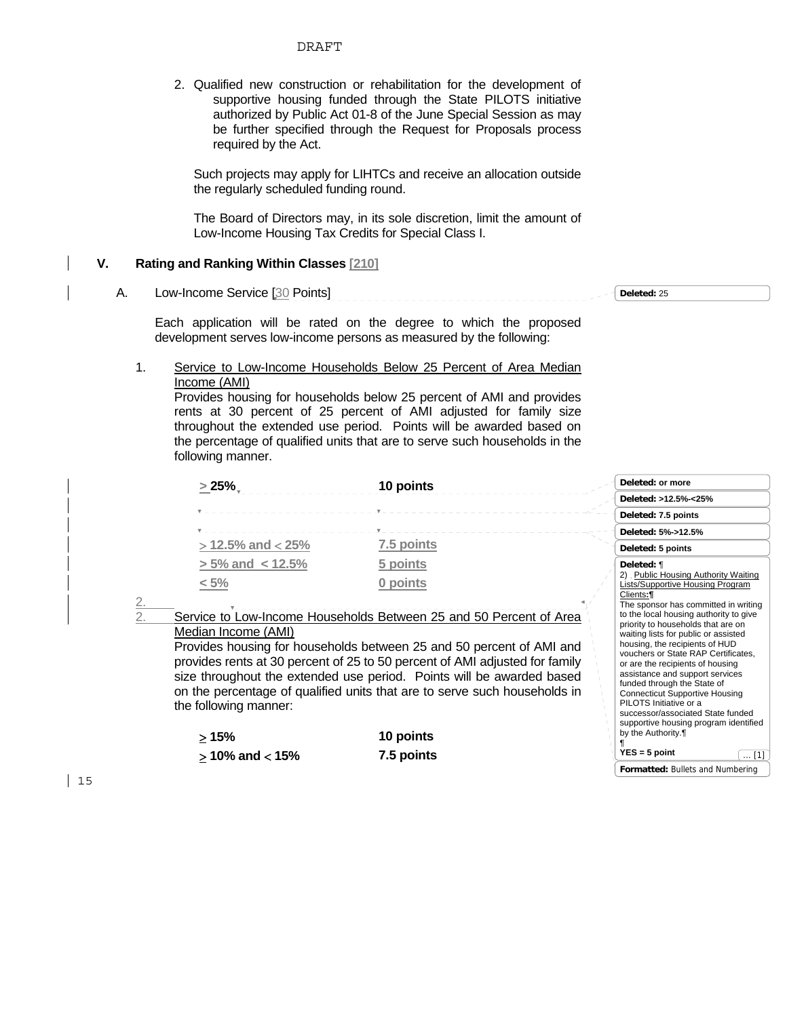2. Qualified new construction or rehabilitation for the development of supportive housing funded through the State PILOTS initiative authorized by Public Act 01-8 of the June Special Session as may be further specified through the Request for Proposals process required by the Act.

Such projects may apply for LIHTCs and receive an allocation outside the regularly scheduled funding round.

The Board of Directors may, in its sole discretion, limit the amount of Low-Income Housing Tax Credits for Special Class I.

## **V. Rating and Ranking Within Classes [210]**

A. Low-Income Service [30 Points] **Deleted:** 25 <u>. . . . . . . . . . . . . .</u>

Each application will be rated on the degree to which the proposed development serves low-income persons as measured by the following:

1. Service to Low-Income Households Below 25 Percent of Area Median Income (AMI)

Provides housing for households below 25 percent of AMI and provides rents at 30 percent of 25 percent of AMI adjusted for family size throughout the extended use period. Points will be awarded based on the percentage of qualified units that are to serve such households in the following manner.

|  | >25%                                                                                        | 10 points                                                                   |  | Deleted: or more                                                               |
|--|---------------------------------------------------------------------------------------------|-----------------------------------------------------------------------------|--|--------------------------------------------------------------------------------|
|  |                                                                                             |                                                                             |  | Deleted: >12.5%-<25%                                                           |
|  |                                                                                             |                                                                             |  | Deleted: 7.5 points                                                            |
|  |                                                                                             |                                                                             |  | Deleted: 5%->12.5%                                                             |
|  | $>$ 12.5% and $<$ 25%                                                                       | 7.5 points                                                                  |  | Deleted: 5 points                                                              |
|  | $> 5\%$ and $< 12.5\%$                                                                      | 5 points                                                                    |  | Deleted: ¶                                                                     |
|  | $< 5\%$                                                                                     | 0 points                                                                    |  | 2) Public Housing Authority Waiting<br>Lists/Supportive Housing Program        |
|  |                                                                                             |                                                                             |  | Clients:¶                                                                      |
|  |                                                                                             | Service to Low-Income Households Between 25 and 50 Percent of Area          |  | The sponsor has committed in writing<br>to the local housing authority to give |
|  | Median Income (AMI)<br>Provides housing for households between 25 and 50 percent of AMI and |                                                                             |  | priority to households that are on<br>waiting lists for public or assisted     |
|  |                                                                                             |                                                                             |  | housing, the recipients of HUD<br>vouchers or State RAP Certificates,          |
|  |                                                                                             | provides rents at 30 percent of 25 to 50 percent of AMI adjusted for family |  | or are the recipients of housing                                               |
|  |                                                                                             | size throughout the extended use period. Points will be awarded based       |  | assistance and support services<br>funded through the State of                 |
|  |                                                                                             | on the percentage of qualified units that are to serve such households in   |  | <b>Connecticut Supportive Housing</b>                                          |
|  | the following manner:                                                                       |                                                                             |  | PILOTS Initiative or a<br>successor/associated State funded                    |
|  |                                                                                             |                                                                             |  | supportive housing program identified                                          |
|  | >15%                                                                                        | 10 points                                                                   |  | by the Authority.                                                              |
|  | $>$ 10% and $<$ 15%                                                                         | 7.5 points                                                                  |  | $YES = 5 point$<br>$\dots$ [1]                                                 |

**Formatted:** Bullets and Numbering

| 15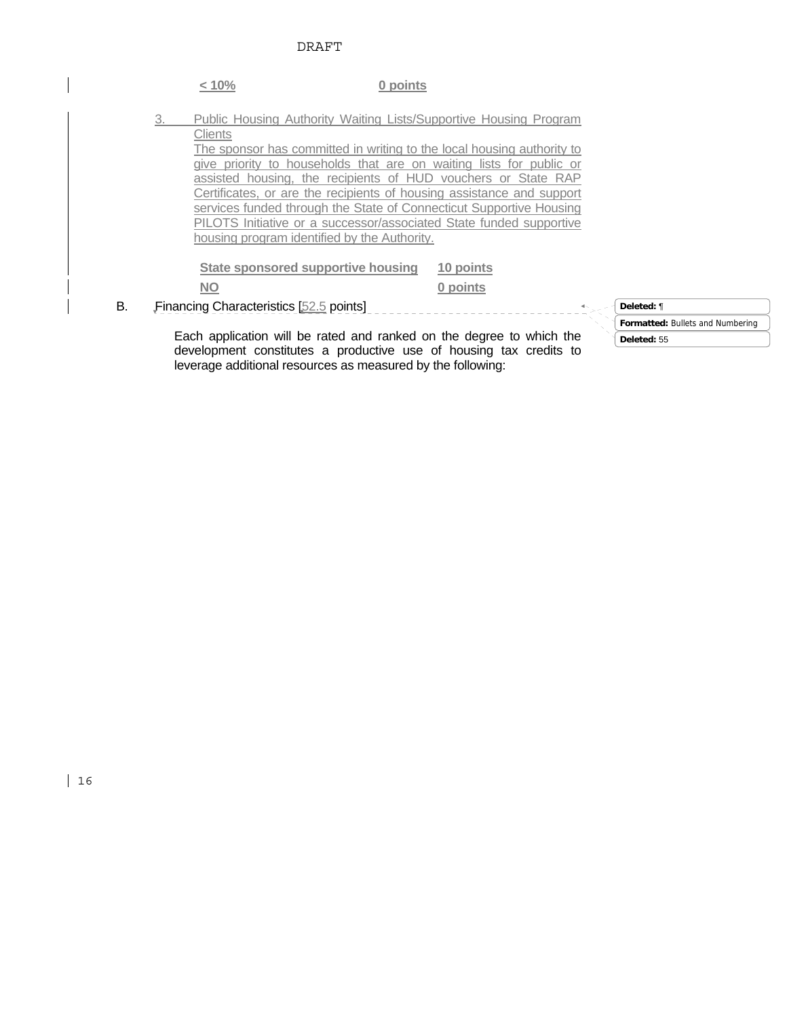leverage additional resources as measured by the following:

|    | $< 10\%$                                                                                                                                   | 0 points  |                                  |
|----|--------------------------------------------------------------------------------------------------------------------------------------------|-----------|----------------------------------|
| 3. | Public Housing Authority Waiting Lists/Supportive Housing Program                                                                          |           |                                  |
|    | <b>Clients</b><br>The sponsor has committed in writing to the local housing authority to                                                   |           |                                  |
|    | give priority to households that are on waiting lists for public or                                                                        |           |                                  |
|    | assisted housing, the recipients of HUD vouchers or State RAP                                                                              |           |                                  |
|    | Certificates, or are the recipients of housing assistance and support                                                                      |           |                                  |
|    | services funded through the State of Connecticut Supportive Housing<br>PILOTS Initiative or a successor/associated State funded supportive |           |                                  |
|    | housing program identified by the Authority.                                                                                               |           |                                  |
|    | State sponsored supportive housing                                                                                                         | 10 points |                                  |
|    | <b>NO</b>                                                                                                                                  | 0 points  |                                  |
|    | Financing Characteristics [52.5 points]                                                                                                    |           | Deleted: ¶                       |
|    |                                                                                                                                            |           | Formatted: Bullets and Numbering |
|    | Each application will be rated and ranked on the degree to which the                                                                       |           |                                  |

 $\overline{\phantom{a}}$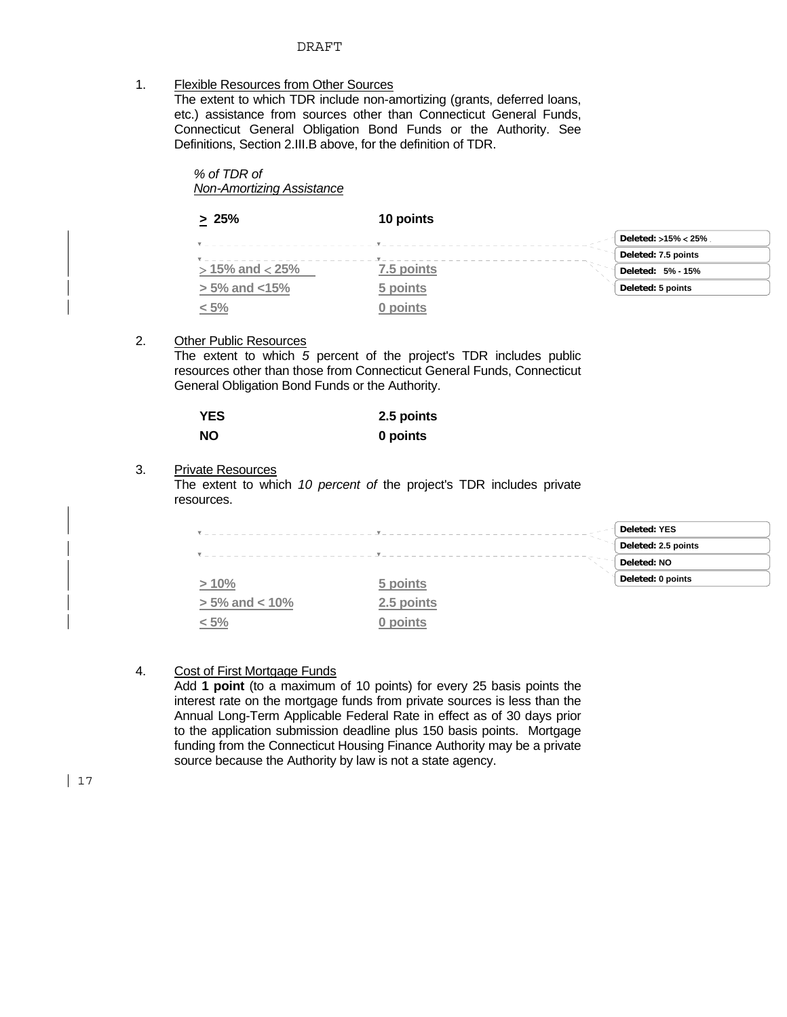1. Flexible Resources from Other Sources

The extent to which TDR include non-amortizing (grants, deferred loans, etc.) assistance from sources other than Connecticut General Funds, Connecticut General Obligation Bond Funds or the Authority. See Definitions, Section 2.III.B above, for the definition of TDR.

 *% of TDR of Non-Amortizing Assistance* 

| > 25%                 | 10 points  |                     |
|-----------------------|------------|---------------------|
|                       |            | Deleted: >15% < 25% |
|                       |            | Deleted: 7.5 points |
| $> 15\%$ and $< 25\%$ | 7.5 points | Deleted: 5% - 15%   |
| $> 5\%$ and $< 15\%$  | 5 points   | Deleted: 5 points   |
| $< 5\%$               | 0 points   |                     |

#### 2. Other Public Resources

The extent to which *5* percent of the project's TDR includes public resources other than those from Connecticut General Funds, Connecticut General Obligation Bond Funds or the Authority.

| <b>YES</b> | 2.5 points |
|------------|------------|
| <b>NO</b>  | 0 points   |

### 3. Private Resources

The extent to which *10 percent of* the project's TDR includes private resources.

|                      |            |          | <b>Deleted: YES</b> |
|----------------------|------------|----------|---------------------|
|                      |            |          | Deleted: 2.5 points |
|                      |            | the con- | Deleted: NO         |
| >10%                 | 5 points   |          | Deleted: 0 points   |
| $> 5\%$ and $< 10\%$ | 2.5 points |          |                     |
| $< 5\%$              | 0 points   |          |                     |

### 4. Cost of First Mortgage Funds

Add **1 point** (to a maximum of 10 points) for every 25 basis points the interest rate on the mortgage funds from private sources is less than the Annual Long-Term Applicable Federal Rate in effect as of 30 days prior to the application submission deadline plus 150 basis points. Mortgage funding from the Connecticut Housing Finance Authority may be a private source because the Authority by law is not a state agency.

 $17$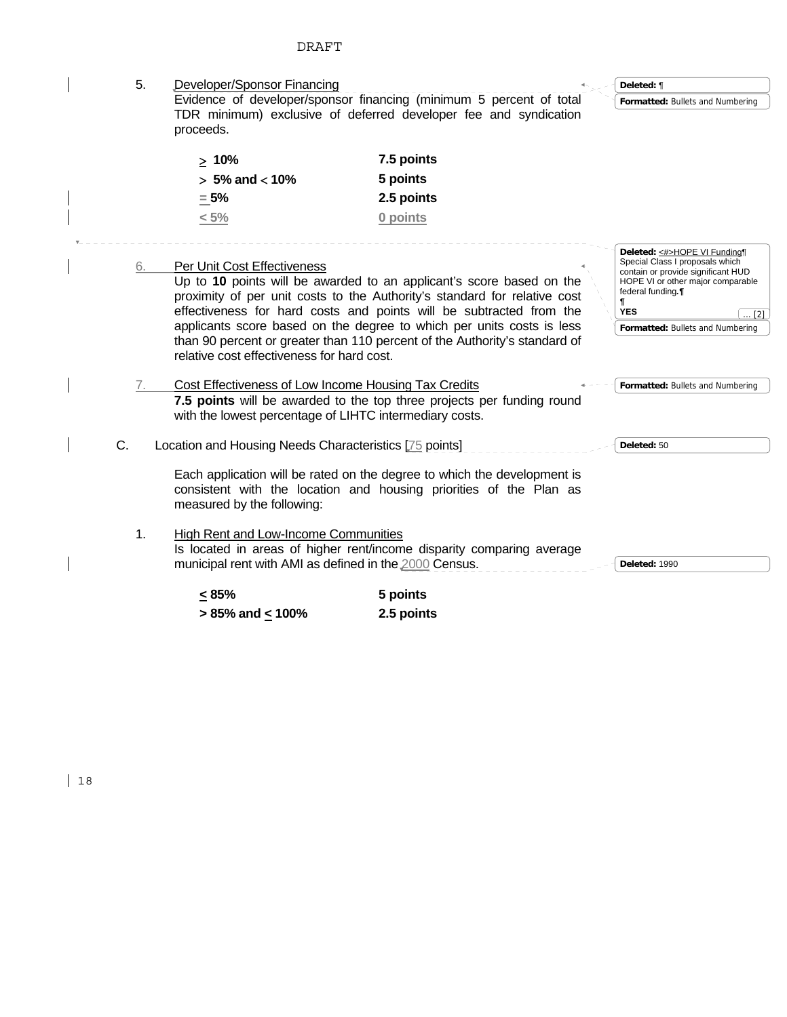| 5. | Developer/Sponsor Financing                                                                                     |                                                                                                                                                                                                                                                                                                                                                                                 | Deleted: ¶                                                                                                                                                                                                                             |
|----|-----------------------------------------------------------------------------------------------------------------|---------------------------------------------------------------------------------------------------------------------------------------------------------------------------------------------------------------------------------------------------------------------------------------------------------------------------------------------------------------------------------|----------------------------------------------------------------------------------------------------------------------------------------------------------------------------------------------------------------------------------------|
|    | proceeds.                                                                                                       | Evidence of developer/sponsor financing (minimum 5 percent of total<br>TDR minimum) exclusive of deferred developer fee and syndication                                                                                                                                                                                                                                         | Formatted: Bullets and Numbering                                                                                                                                                                                                       |
|    | $\geq 10\%$                                                                                                     | 7.5 points                                                                                                                                                                                                                                                                                                                                                                      |                                                                                                                                                                                                                                        |
|    | $> 5\%$ and $< 10\%$                                                                                            | 5 points                                                                                                                                                                                                                                                                                                                                                                        |                                                                                                                                                                                                                                        |
|    | $= 5%$                                                                                                          | 2.5 points                                                                                                                                                                                                                                                                                                                                                                      |                                                                                                                                                                                                                                        |
|    | $< 5\%$                                                                                                         | 0 points                                                                                                                                                                                                                                                                                                                                                                        |                                                                                                                                                                                                                                        |
| 6. | Per Unit Cost Effectiveness<br>relative cost effectiveness for hard cost.                                       | Up to 10 points will be awarded to an applicant's score based on the<br>proximity of per unit costs to the Authority's standard for relative cost<br>effectiveness for hard costs and points will be subtracted from the<br>applicants score based on the degree to which per units costs is less<br>than 90 percent or greater than 110 percent of the Authority's standard of | Deleted: <#>HOPE VI Funding¶<br>Special Class I proposals which<br>contain or provide significant HUD<br>HOPE VI or other major comparable<br>federal funding.<br>¶.<br><b>YES</b><br>$\ldots$ [2]<br>Formatted: Bullets and Numbering |
| 7. | Cost Effectiveness of Low Income Housing Tax Credits<br>with the lowest percentage of LIHTC intermediary costs. | 7.5 points will be awarded to the top three projects per funding round                                                                                                                                                                                                                                                                                                          | <b>Formatted: Bullets and Numbering</b>                                                                                                                                                                                                |
| C. | Location and Housing Needs Characteristics [75 points]                                                          |                                                                                                                                                                                                                                                                                                                                                                                 | Deleted: 50                                                                                                                                                                                                                            |
|    | measured by the following:                                                                                      | Each application will be rated on the degree to which the development is<br>consistent with the location and housing priorities of the Plan as                                                                                                                                                                                                                                  |                                                                                                                                                                                                                                        |
| 1. | <b>High Rent and Low-Income Communities</b><br>municipal rent with AMI as defined in the 2000 Census.           | Is located in areas of higher rent/income disparity comparing average                                                                                                                                                                                                                                                                                                           | Deleted: 1990                                                                                                                                                                                                                          |
|    | < 85%                                                                                                           | 5 points                                                                                                                                                                                                                                                                                                                                                                        |                                                                                                                                                                                                                                        |
|    | $> 85\%$ and $\leq 100\%$                                                                                       | 2.5 points                                                                                                                                                                                                                                                                                                                                                                      |                                                                                                                                                                                                                                        |
|    |                                                                                                                 |                                                                                                                                                                                                                                                                                                                                                                                 |                                                                                                                                                                                                                                        |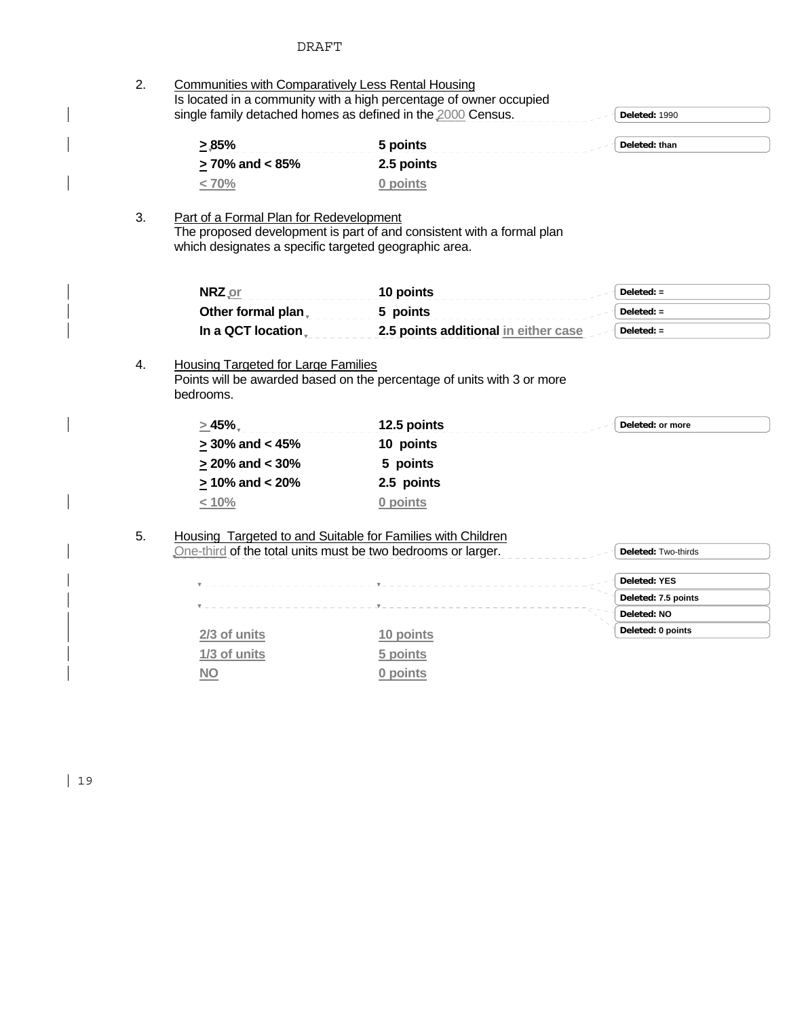| 2. | <b>Communities with Comparatively Less Rental Housing</b><br>Is located in a community with a high percentage of owner occupied<br>single family detached homes as defined in the 2000 Census.<br>Deleted: 1990 |                                                                        |                            |
|----|-----------------------------------------------------------------------------------------------------------------------------------------------------------------------------------------------------------------|------------------------------------------------------------------------|----------------------------|
|    | > 85%                                                                                                                                                                                                           | 5 points                                                               | Deleted: than              |
|    | $> 70\%$ and $< 85\%$                                                                                                                                                                                           | 2.5 points                                                             |                            |
|    | < 70%                                                                                                                                                                                                           | 0 points                                                               |                            |
| 3. | Part of a Formal Plan for Redevelopment<br>which designates a specific targeted geographic area.                                                                                                                | The proposed development is part of and consistent with a formal plan  |                            |
|    | NRZ or                                                                                                                                                                                                          | 10 points                                                              | Deleted: $=$               |
|    | Other formal plan _________ 5 points                                                                                                                                                                            |                                                                        | $Deleted: =$               |
|    |                                                                                                                                                                                                                 | In a QCT location <sub>v</sub> 2.5 points additional in either case    | $Deleted: =$               |
| 4. | <b>Housing Targeted for Large Families</b>                                                                                                                                                                      |                                                                        |                            |
|    | bedrooms.                                                                                                                                                                                                       | Points will be awarded based on the percentage of units with 3 or more |                            |
|    | $\geq$ 45% $_{\tiny\rm v}$                                                                                                                                                                                      | 12.5 points                                                            | Deleted: or more           |
|    | $\geq$ 30% and < 45%                                                                                                                                                                                            | 10 points                                                              |                            |
|    | $\geq$ 20% and < 30%                                                                                                                                                                                            | 5 points                                                               |                            |
|    | $\geq$ 10% and < 20%                                                                                                                                                                                            | 2.5 points                                                             |                            |
|    | < 10%                                                                                                                                                                                                           | 0 points                                                               |                            |
| 5. | Housing Targeted to and Suitable for Families with Children<br>One-third of the total units must be two bedrooms or larger.                                                                                     |                                                                        | <b>Deleted: Two-thirds</b> |
|    |                                                                                                                                                                                                                 |                                                                        | <b>Deleted: YES</b>        |
|    |                                                                                                                                                                                                                 |                                                                        | Deleted: 7.5 points        |
|    |                                                                                                                                                                                                                 |                                                                        | Deleted: NO                |
|    | 2/3 of units                                                                                                                                                                                                    | 10 points                                                              | Deleted: 0 points          |
|    | 1/3 of units                                                                                                                                                                                                    | 5 points                                                               |                            |

 $\overline{\phantom{a}}$ 

 $\overline{\phantom{a}}$ 

 $\overline{\phantom{a}}$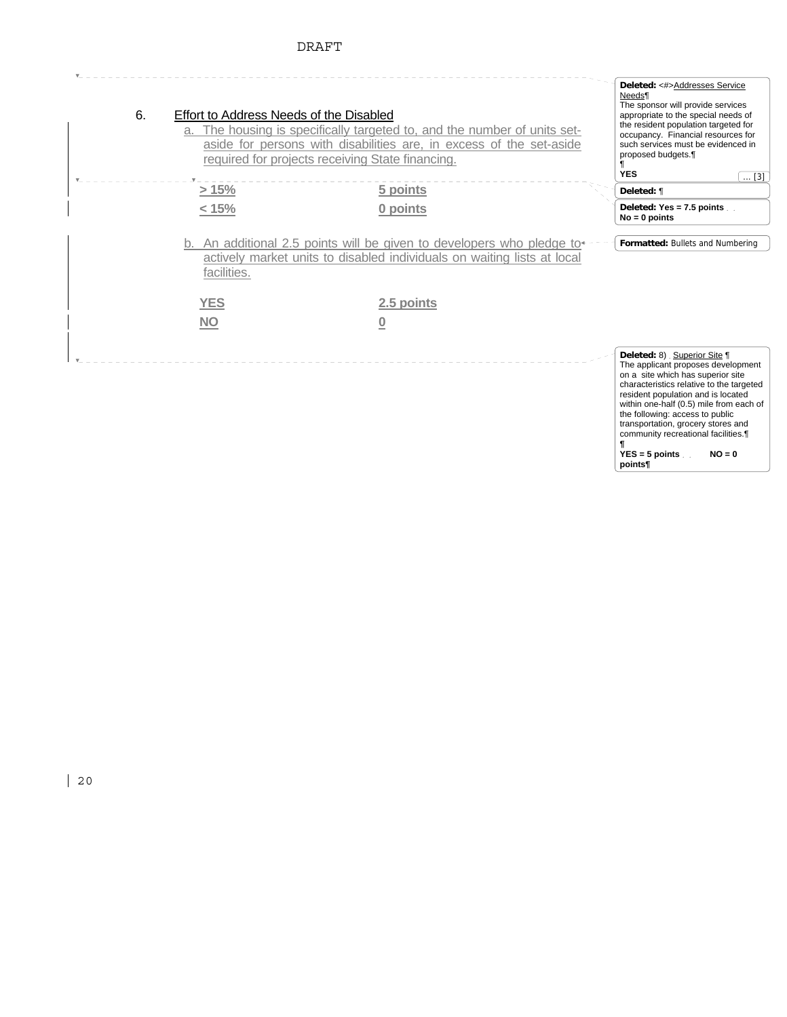

**¶ YES = 5 points NO = 0 points¶**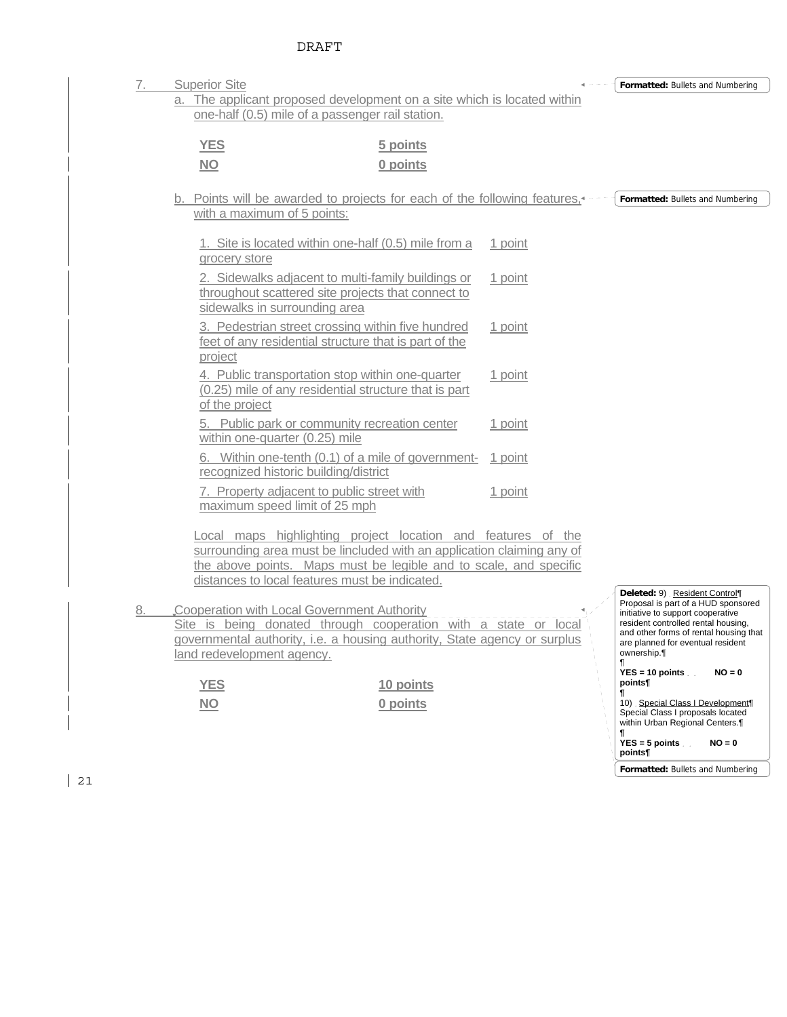| 7. | <b>Superior Site</b><br>a. The applicant proposed development on a site which is located within                                                                                                                                                               |           |         | <b>Formatted: Bullets and Numbering</b>                                                                                                                                                                                                        |
|----|---------------------------------------------------------------------------------------------------------------------------------------------------------------------------------------------------------------------------------------------------------------|-----------|---------|------------------------------------------------------------------------------------------------------------------------------------------------------------------------------------------------------------------------------------------------|
|    | one-half (0.5) mile of a passenger rail station.                                                                                                                                                                                                              |           |         |                                                                                                                                                                                                                                                |
|    | <b>YES</b>                                                                                                                                                                                                                                                    | 5 points  |         |                                                                                                                                                                                                                                                |
|    | $NO$                                                                                                                                                                                                                                                          | 0 points  |         |                                                                                                                                                                                                                                                |
|    | b. Points will be awarded to projects for each of the following features, <sup>*</sup><br>with a maximum of 5 points:                                                                                                                                         |           |         | Formatted: Bullets and Numbering                                                                                                                                                                                                               |
|    | 1. Site is located within one-half (0.5) mile from a<br>grocery store                                                                                                                                                                                         |           | 1 point |                                                                                                                                                                                                                                                |
|    | 2. Sidewalks adjacent to multi-family buildings or<br>throughout scattered site projects that connect to<br>sidewalks in surrounding area                                                                                                                     |           | 1 point |                                                                                                                                                                                                                                                |
|    | 3. Pedestrian street crossing within five hundred<br>feet of any residential structure that is part of the<br>project                                                                                                                                         |           | 1 point |                                                                                                                                                                                                                                                |
|    | 4. Public transportation stop within one-quarter<br>(0.25) mile of any residential structure that is part<br>of the project                                                                                                                                   |           | 1 point |                                                                                                                                                                                                                                                |
|    | 5. Public park or community recreation center<br>within one-quarter (0.25) mile                                                                                                                                                                               |           | 1 point |                                                                                                                                                                                                                                                |
|    | 6. Within one-tenth (0.1) of a mile of government-<br>recognized historic building/district                                                                                                                                                                   |           | 1 point |                                                                                                                                                                                                                                                |
|    | 7. Property adjacent to public street with<br>maximum speed limit of 25 mph                                                                                                                                                                                   |           | 1 point |                                                                                                                                                                                                                                                |
|    | Local maps highlighting project location and features of the<br>surrounding area must be lincluded with an application claiming any of<br>the above points. Maps must be legible and to scale, and specific<br>distances to local features must be indicated. |           |         |                                                                                                                                                                                                                                                |
| 8. | Cooperation with Local Government Authority<br>Site is being donated through cooperation with a state or local<br>governmental authority, i.e. a housing authority, State agency or surplus<br>land redevelopment agency.                                     |           |         | Deleted: 9) Resident Control¶<br>Proposal is part of a HUD sponsored<br>initiative to support cooperative<br>resident controlled rental housing,<br>and other forms of rental housing that<br>are planned for eventual resident<br>ownership.¶ |
|    | <b>YES</b>                                                                                                                                                                                                                                                    | 10 points |         | $YES = 10 points$<br>$NO = 0$<br>points¶<br>¶.                                                                                                                                                                                                 |
|    | NQ                                                                                                                                                                                                                                                            | 0 points  |         | 10) Special Class I Development¶<br>Special Class I proposals located<br>within Urban Regional Centers.                                                                                                                                        |
|    |                                                                                                                                                                                                                                                               |           |         | $YES = 5 points$<br>$NO = 0$<br>points¶                                                                                                                                                                                                        |

**Formatted:** Bullets and Numbering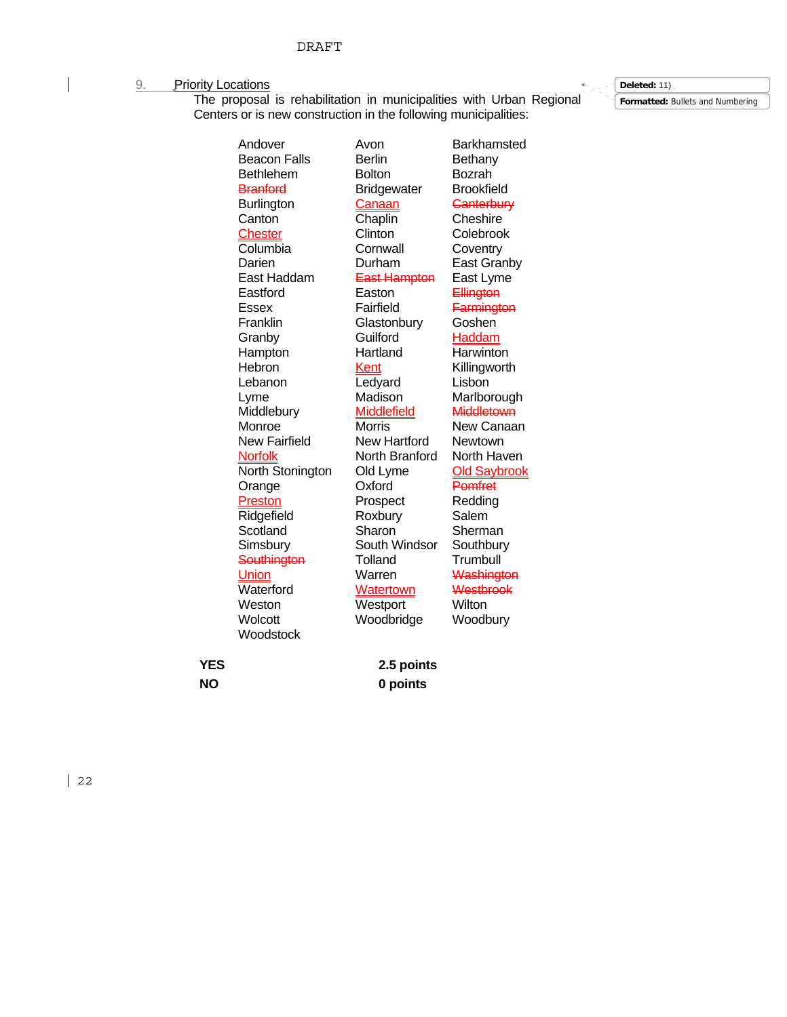### 9. Priority Locations

 $\overline{\phantom{a}}$ 

The proposal is rehabilitation in municipalities with Urban Regional Centers or is new construction in the following municipalities:

**YES 2.5 points NO 0 points** 

### **Deleted:** 11)

**Formatted:** Bullets and Numbering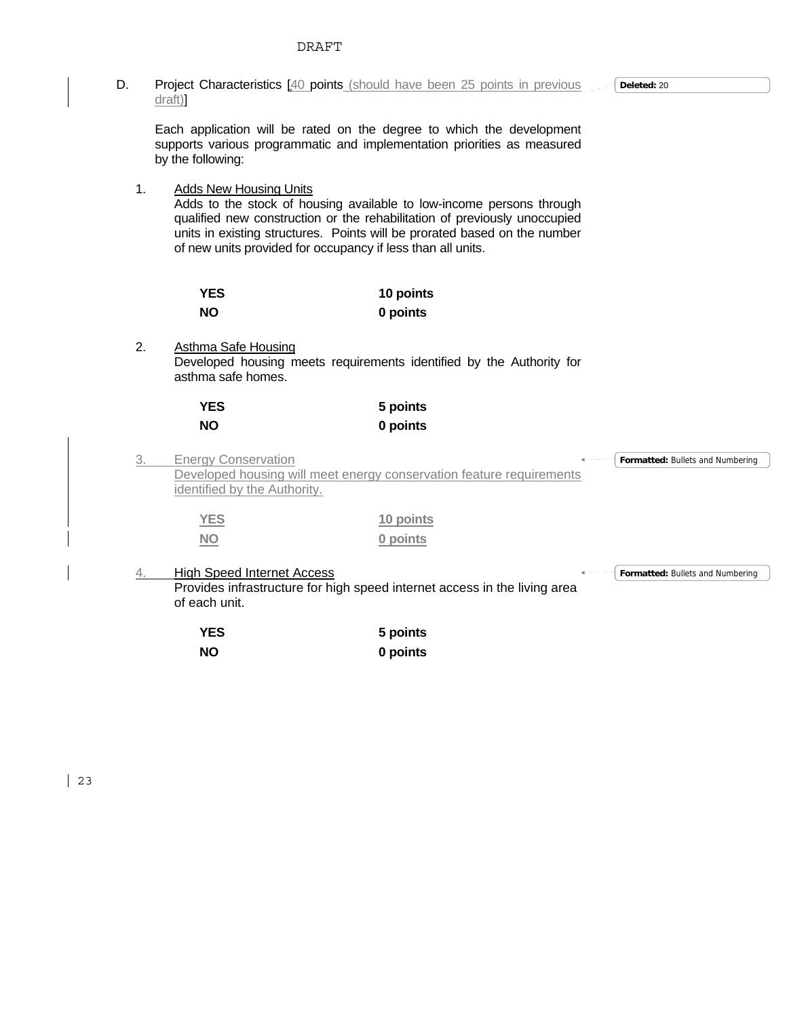### D. Project Characteristics [40 points (should have been 25 points in previous draft)]

Each application will be rated on the degree to which the development supports various programmatic and implementation priorities as measured by the following:

1. Adds New Housing Units Adds to the stock of housing available to low-income persons through qualified new construction or the rehabilitation of previously unoccupied units in existing structures. Points will be prorated based on the number of new units provided for occupancy if less than all units.

| <b>YES</b> | 10 points |
|------------|-----------|
| NO.        | 0 points  |

2. Asthma Safe Housing Developed housing meets requirements identified by the Authority for asthma safe homes.

| <b>YES</b> | 5 points |
|------------|----------|
| <b>NO</b>  | 0 points |

| <b>Energy Conservation</b><br>identified by the Authority. | Developed housing will meet energy conservation feature requirements      | <b>Formatted: Bullets and Numbering</b> |
|------------------------------------------------------------|---------------------------------------------------------------------------|-----------------------------------------|
| <b>YES</b><br><b>NO</b>                                    | 10 points<br>0 points                                                     |                                         |
| <b>High Speed Internet Access</b><br>of each unit.         | Provides infrastructure for high speed internet access in the living area | Formatted: Bullets and Numbering        |

| <b>YES</b> | 5 points |
|------------|----------|
| <b>NO</b>  | 0 points |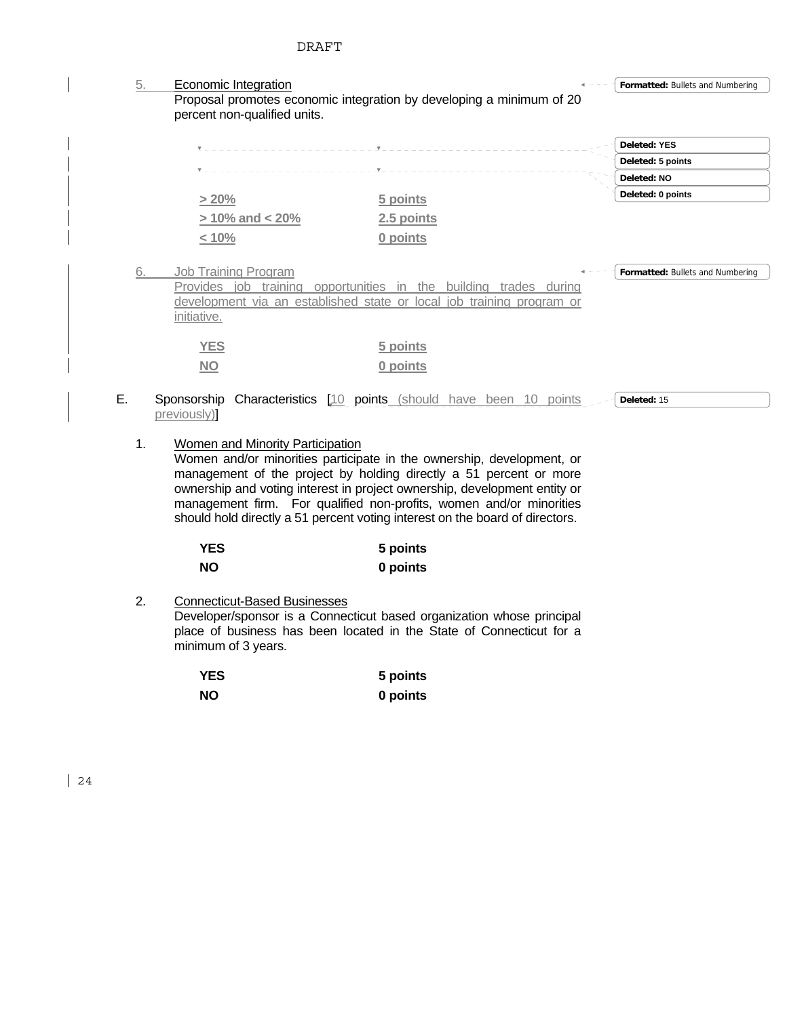| 5.<br><b>Economic Integration</b><br>percent non-qualified units. | Proposal promotes economic integration by developing a minimum of 20                                                                                                                                                                                                                                                                                                            | Formatted: Bullets and Numbering |
|-------------------------------------------------------------------|---------------------------------------------------------------------------------------------------------------------------------------------------------------------------------------------------------------------------------------------------------------------------------------------------------------------------------------------------------------------------------|----------------------------------|
|                                                                   |                                                                                                                                                                                                                                                                                                                                                                                 | <b>Deleted: YES</b>              |
|                                                                   |                                                                                                                                                                                                                                                                                                                                                                                 | Deleted: 5 points                |
|                                                                   |                                                                                                                                                                                                                                                                                                                                                                                 | Deleted: NO                      |
| $> 20\%$                                                          | 5 points                                                                                                                                                                                                                                                                                                                                                                        | Deleted: 0 points                |
| $> 10\%$ and < 20%                                                | 2.5 points                                                                                                                                                                                                                                                                                                                                                                      |                                  |
| < 10%                                                             | 0 points                                                                                                                                                                                                                                                                                                                                                                        |                                  |
| <b>Job Training Program</b><br>6.<br>initiative.                  | Provides job training opportunities in the building trades during<br>development via an established state or local job training program or                                                                                                                                                                                                                                      | Formatted: Bullets and Numbering |
| <b>YES</b>                                                        | 5 points                                                                                                                                                                                                                                                                                                                                                                        |                                  |
| <b>NO</b>                                                         | 0 points                                                                                                                                                                                                                                                                                                                                                                        |                                  |
| previously)]<br>1.<br>Women and Minority Participation            | Women and/or minorities participate in the ownership, development, or<br>management of the project by holding directly a 51 percent or more<br>ownership and voting interest in project ownership, development entity or<br>management firm. For qualified non-profits, women and/or minorities<br>should hold directly a 51 percent voting interest on the board of directors. |                                  |
| <b>YES</b><br><b>NO</b>                                           | 5 points<br>0 points                                                                                                                                                                                                                                                                                                                                                            |                                  |
| 2.<br><b>Connecticut-Based Businesses</b><br>minimum of 3 years.  | Developer/sponsor is a Connecticut based organization whose principal<br>place of business has been located in the State of Connecticut for a                                                                                                                                                                                                                                   |                                  |
| <b>YES</b>                                                        | 5 points                                                                                                                                                                                                                                                                                                                                                                        |                                  |

**NO 0 points** 

 $\overline{\phantom{a}}$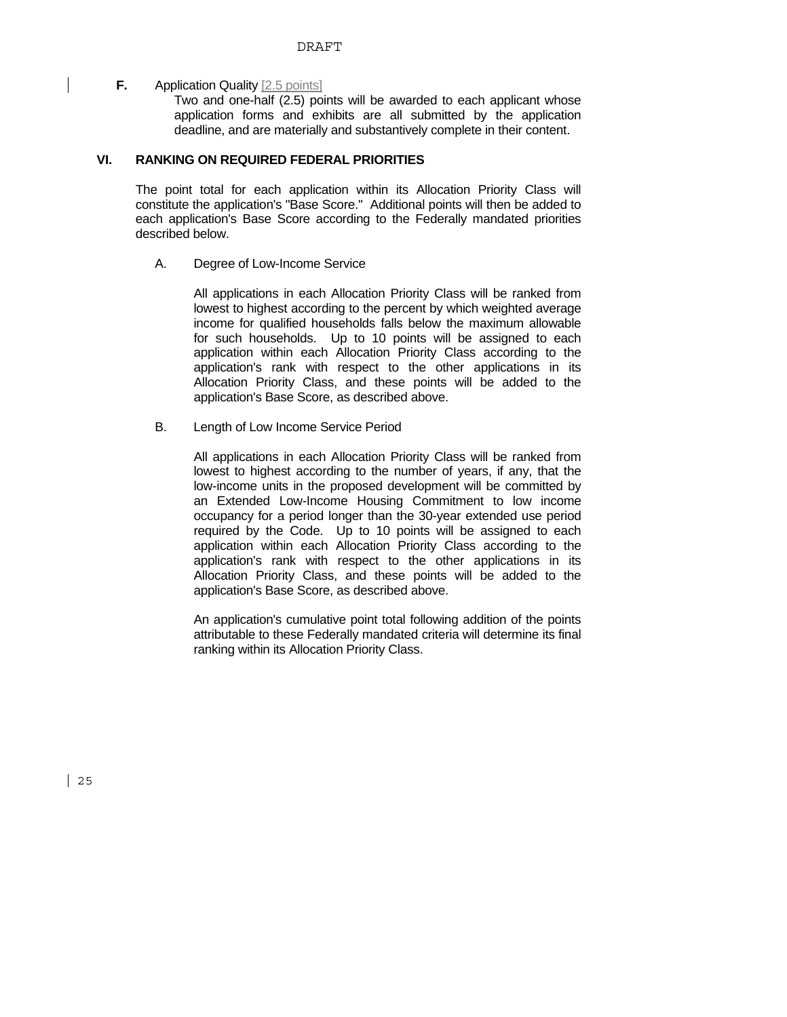**F.** Application Quality [2.5 points]

Two and one-half (2.5) points will be awarded to each applicant whose application forms and exhibits are all submitted by the application deadline, and are materially and substantively complete in their content.

### **VI. RANKING ON REQUIRED FEDERAL PRIORITIES**

The point total for each application within its Allocation Priority Class will constitute the application's "Base Score." Additional points will then be added to each application's Base Score according to the Federally mandated priorities described below.

A. Degree of Low-Income Service

All applications in each Allocation Priority Class will be ranked from lowest to highest according to the percent by which weighted average income for qualified households falls below the maximum allowable for such households. Up to 10 points will be assigned to each application within each Allocation Priority Class according to the application's rank with respect to the other applications in its Allocation Priority Class, and these points will be added to the application's Base Score, as described above.

B. Length of Low Income Service Period

All applications in each Allocation Priority Class will be ranked from lowest to highest according to the number of years, if any, that the low-income units in the proposed development will be committed by an Extended Low-Income Housing Commitment to low income occupancy for a period longer than the 30-year extended use period required by the Code. Up to 10 points will be assigned to each application within each Allocation Priority Class according to the application's rank with respect to the other applications in its Allocation Priority Class, and these points will be added to the application's Base Score, as described above.

An application's cumulative point total following addition of the points attributable to these Federally mandated criteria will determine its final ranking within its Allocation Priority Class.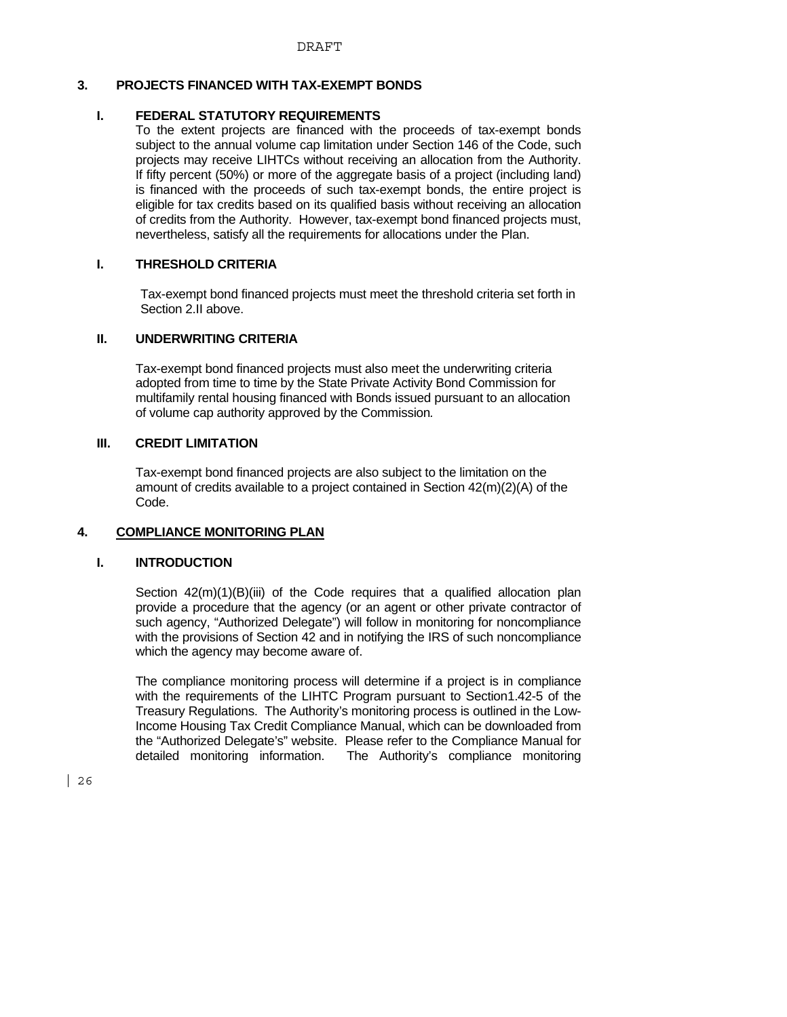### **3. PROJECTS FINANCED WITH TAX-EXEMPT BONDS**

## **I. FEDERAL STATUTORY REQUIREMENTS**

To the extent projects are financed with the proceeds of tax-exempt bonds subject to the annual volume cap limitation under Section 146 of the Code, such projects may receive LIHTCs without receiving an allocation from the Authority. If fifty percent (50%) or more of the aggregate basis of a project (including land) is financed with the proceeds of such tax-exempt bonds, the entire project is eligible for tax credits based on its qualified basis without receiving an allocation of credits from the Authority. However, tax-exempt bond financed projects must, nevertheless, satisfy all the requirements for allocations under the Plan.

## **I. THRESHOLD CRITERIA**

Tax-exempt bond financed projects must meet the threshold criteria set forth in Section 2.II above.

## **II. UNDERWRITING CRITERIA**

Tax-exempt bond financed projects must also meet the underwriting criteria adopted from time to time by the State Private Activity Bond Commission for multifamily rental housing financed with Bonds issued pursuant to an allocation of volume cap authority approved by the Commission*.* 

## **III. CREDIT LIMITATION**

Tax-exempt bond financed projects are also subject to the limitation on the amount of credits available to a project contained in Section 42(m)(2)(A) of the Code.

## **4. COMPLIANCE MONITORING PLAN**

### **I. INTRODUCTION**

Section 42(m)(1)(B)(iii) of the Code requires that a qualified allocation plan provide a procedure that the agency (or an agent or other private contractor of such agency, "Authorized Delegate") will follow in monitoring for noncompliance with the provisions of Section 42 and in notifying the IRS of such noncompliance which the agency may become aware of.

The compliance monitoring process will determine if a project is in compliance with the requirements of the LIHTC Program pursuant to Section1.42-5 of the Treasury Regulations. The Authority's monitoring process is outlined in the Low-Income Housing Tax Credit Compliance Manual, which can be downloaded from the "Authorized Delegate's" website. Please refer to the Compliance Manual for detailed monitoring information. The Authority's compliance monitoring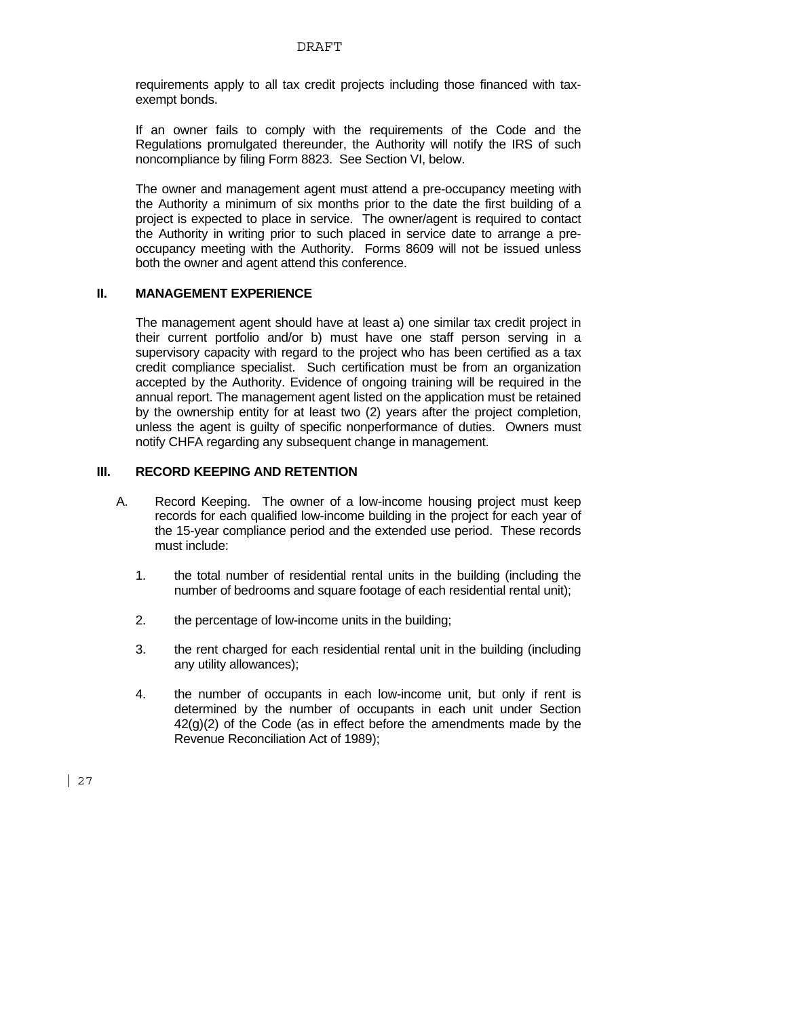requirements apply to all tax credit projects including those financed with taxexempt bonds.

If an owner fails to comply with the requirements of the Code and the Regulations promulgated thereunder, the Authority will notify the IRS of such noncompliance by filing Form 8823. See Section VI, below.

The owner and management agent must attend a pre-occupancy meeting with the Authority a minimum of six months prior to the date the first building of a project is expected to place in service. The owner/agent is required to contact the Authority in writing prior to such placed in service date to arrange a preoccupancy meeting with the Authority. Forms 8609 will not be issued unless both the owner and agent attend this conference.

### **II. MANAGEMENT EXPERIENCE**

The management agent should have at least a) one similar tax credit project in their current portfolio and/or b) must have one staff person serving in a supervisory capacity with regard to the project who has been certified as a tax credit compliance specialist. Such certification must be from an organization accepted by the Authority. Evidence of ongoing training will be required in the annual report. The management agent listed on the application must be retained by the ownership entity for at least two (2) years after the project completion, unless the agent is guilty of specific nonperformance of duties. Owners must notify CHFA regarding any subsequent change in management.

#### **III. RECORD KEEPING AND RETENTION**

- A. Record Keeping. The owner of a low-income housing project must keep records for each qualified low-income building in the project for each year of the 15-year compliance period and the extended use period. These records must include:
	- 1. the total number of residential rental units in the building (including the number of bedrooms and square footage of each residential rental unit);
	- 2. the percentage of low-income units in the building;
	- 3. the rent charged for each residential rental unit in the building (including any utility allowances);
	- 4. the number of occupants in each low-income unit, but only if rent is determined by the number of occupants in each unit under Section  $42(q)(2)$  of the Code (as in effect before the amendments made by the Revenue Reconciliation Act of 1989);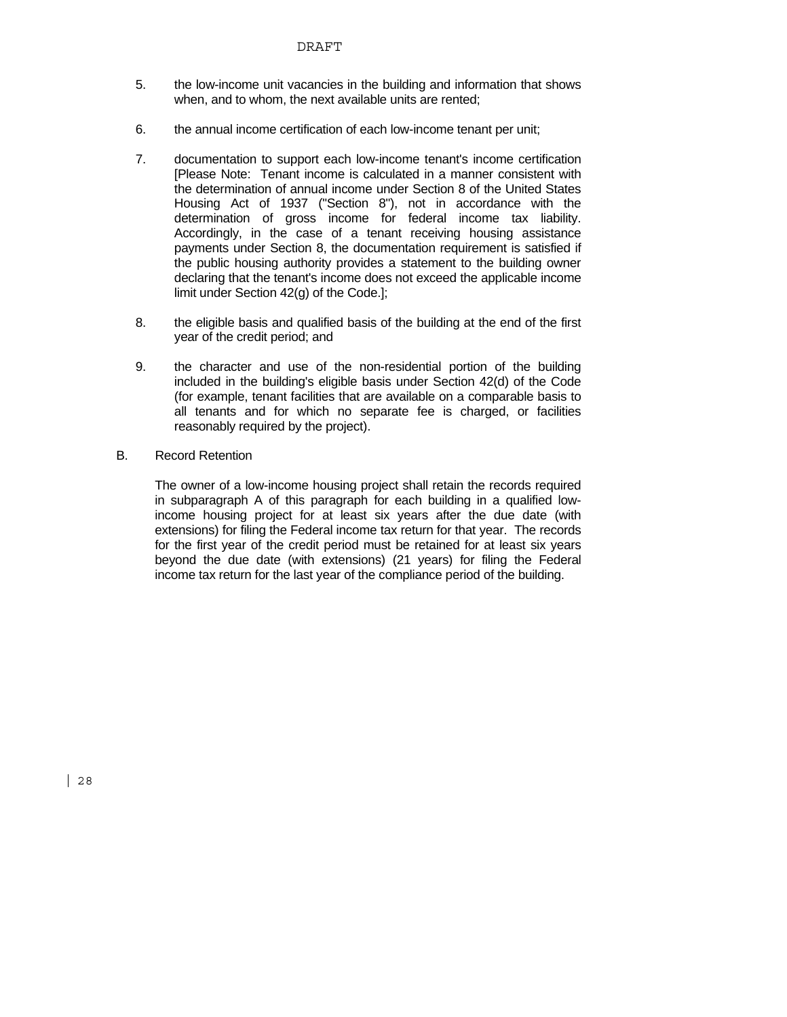- 5. the low-income unit vacancies in the building and information that shows when, and to whom, the next available units are rented;
- 6. the annual income certification of each low-income tenant per unit;
- 7. documentation to support each low-income tenant's income certification [Please Note: Tenant income is calculated in a manner consistent with the determination of annual income under Section 8 of the United States Housing Act of 1937 ("Section 8"), not in accordance with the determination of gross income for federal income tax liability. Accordingly, in the case of a tenant receiving housing assistance payments under Section 8, the documentation requirement is satisfied if the public housing authority provides a statement to the building owner declaring that the tenant's income does not exceed the applicable income limit under Section 42(g) of the Code.];
- 8. the eligible basis and qualified basis of the building at the end of the first year of the credit period; and
- 9. the character and use of the non-residential portion of the building included in the building's eligible basis under Section 42(d) of the Code (for example, tenant facilities that are available on a comparable basis to all tenants and for which no separate fee is charged, or facilities reasonably required by the project).
- B. Record Retention

The owner of a low-income housing project shall retain the records required in subparagraph A of this paragraph for each building in a qualified lowincome housing project for at least six years after the due date (with extensions) for filing the Federal income tax return for that year. The records for the first year of the credit period must be retained for at least six years beyond the due date (with extensions) (21 years) for filing the Federal income tax return for the last year of the compliance period of the building.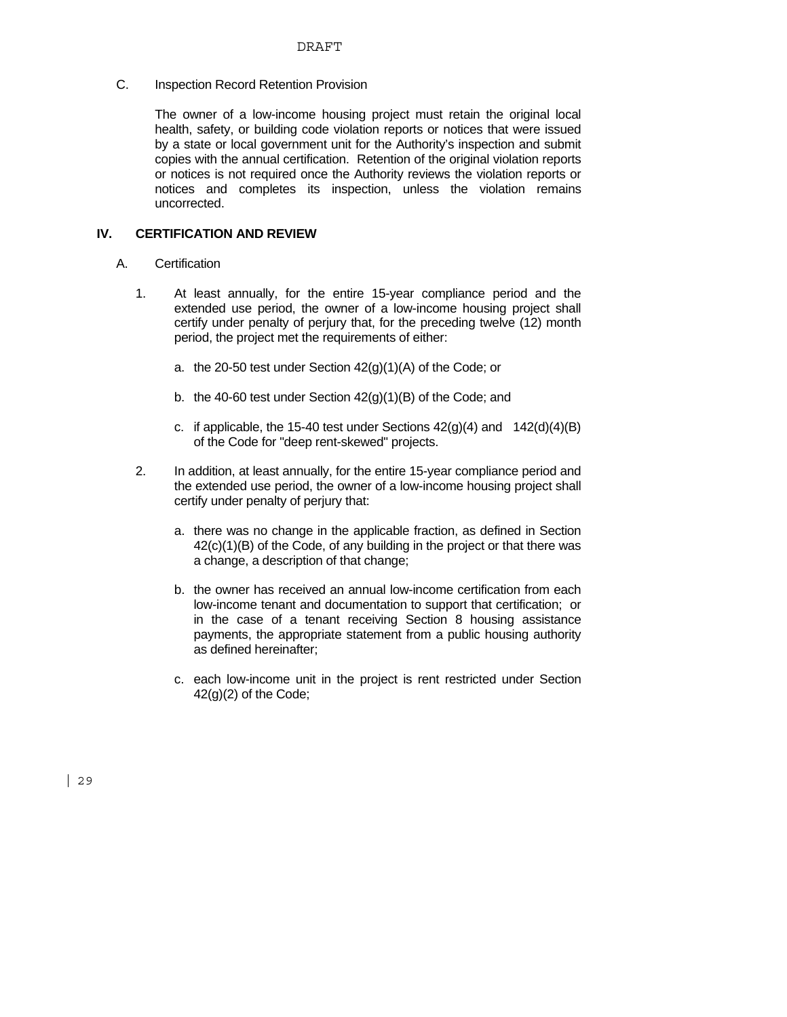C. Inspection Record Retention Provision

The owner of a low-income housing project must retain the original local health, safety, or building code violation reports or notices that were issued by a state or local government unit for the Authority's inspection and submit copies with the annual certification. Retention of the original violation reports or notices is not required once the Authority reviews the violation reports or notices and completes its inspection, unless the violation remains uncorrected.

### **IV. CERTIFICATION AND REVIEW**

- A. Certification
	- 1. At least annually, for the entire 15-year compliance period and the extended use period, the owner of a low-income housing project shall certify under penalty of perjury that, for the preceding twelve (12) month period, the project met the requirements of either:
		- a. the 20-50 test under Section 42(g)(1)(A) of the Code; or
		- b. the 40-60 test under Section 42(g)(1)(B) of the Code; and
		- c. if applicable, the 15-40 test under Sections  $42(g)(4)$  and  $142(d)(4)(B)$ of the Code for "deep rent-skewed" projects.
	- 2. In addition, at least annually, for the entire 15-year compliance period and the extended use period, the owner of a low-income housing project shall certify under penalty of perjury that:
		- a. there was no change in the applicable fraction, as defined in Section 42(c)(1)(B) of the Code, of any building in the project or that there was a change, a description of that change;
		- b. the owner has received an annual low-income certification from each low-income tenant and documentation to support that certification; or in the case of a tenant receiving Section 8 housing assistance payments, the appropriate statement from a public housing authority as defined hereinafter;
		- c. each low-income unit in the project is rent restricted under Section  $42<sub>(g)</sub>(2)$  of the Code;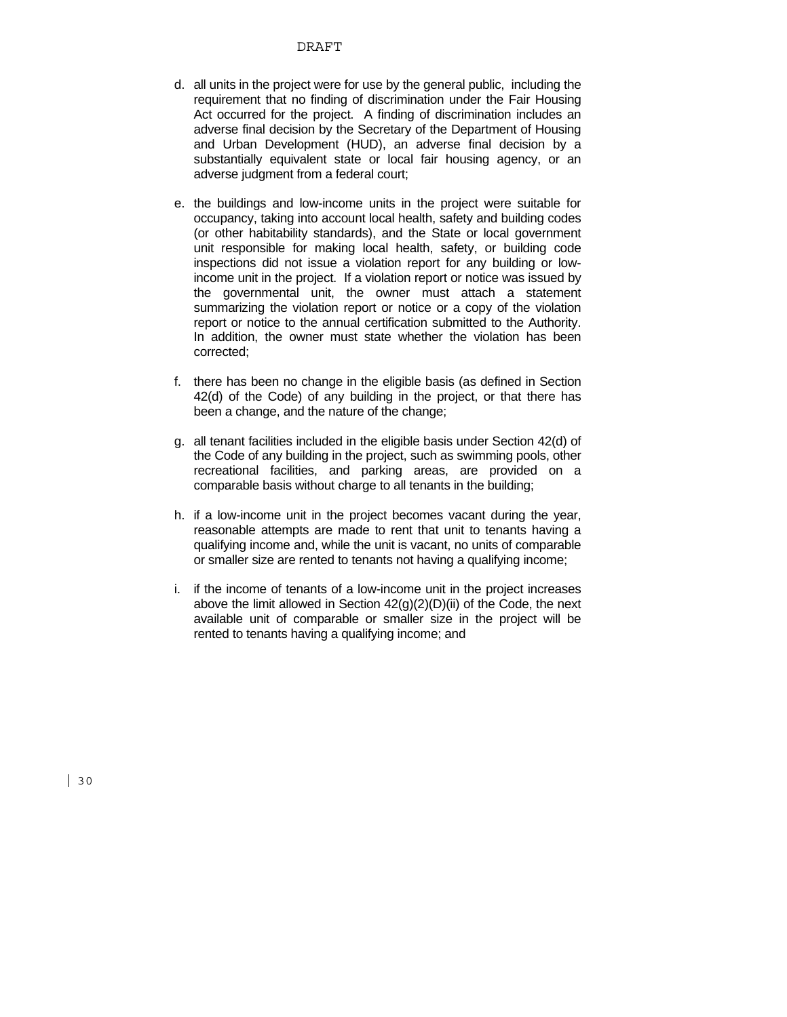- d. all units in the project were for use by the general public, including the requirement that no finding of discrimination under the Fair Housing Act occurred for the project. A finding of discrimination includes an adverse final decision by the Secretary of the Department of Housing and Urban Development (HUD), an adverse final decision by a substantially equivalent state or local fair housing agency, or an adverse judgment from a federal court;
- e. the buildings and low-income units in the project were suitable for occupancy, taking into account local health, safety and building codes (or other habitability standards), and the State or local government unit responsible for making local health, safety, or building code inspections did not issue a violation report for any building or lowincome unit in the project. If a violation report or notice was issued by the governmental unit, the owner must attach a statement summarizing the violation report or notice or a copy of the violation report or notice to the annual certification submitted to the Authority. In addition, the owner must state whether the violation has been corrected;
- f. there has been no change in the eligible basis (as defined in Section 42(d) of the Code) of any building in the project, or that there has been a change, and the nature of the change;
- g. all tenant facilities included in the eligible basis under Section 42(d) of the Code of any building in the project, such as swimming pools, other recreational facilities, and parking areas, are provided on a comparable basis without charge to all tenants in the building;
- h. if a low-income unit in the project becomes vacant during the year, reasonable attempts are made to rent that unit to tenants having a qualifying income and, while the unit is vacant, no units of comparable or smaller size are rented to tenants not having a qualifying income;
- i. if the income of tenants of a low-income unit in the project increases above the limit allowed in Section 42(g)(2)(D)(ii) of the Code, the next available unit of comparable or smaller size in the project will be rented to tenants having a qualifying income; and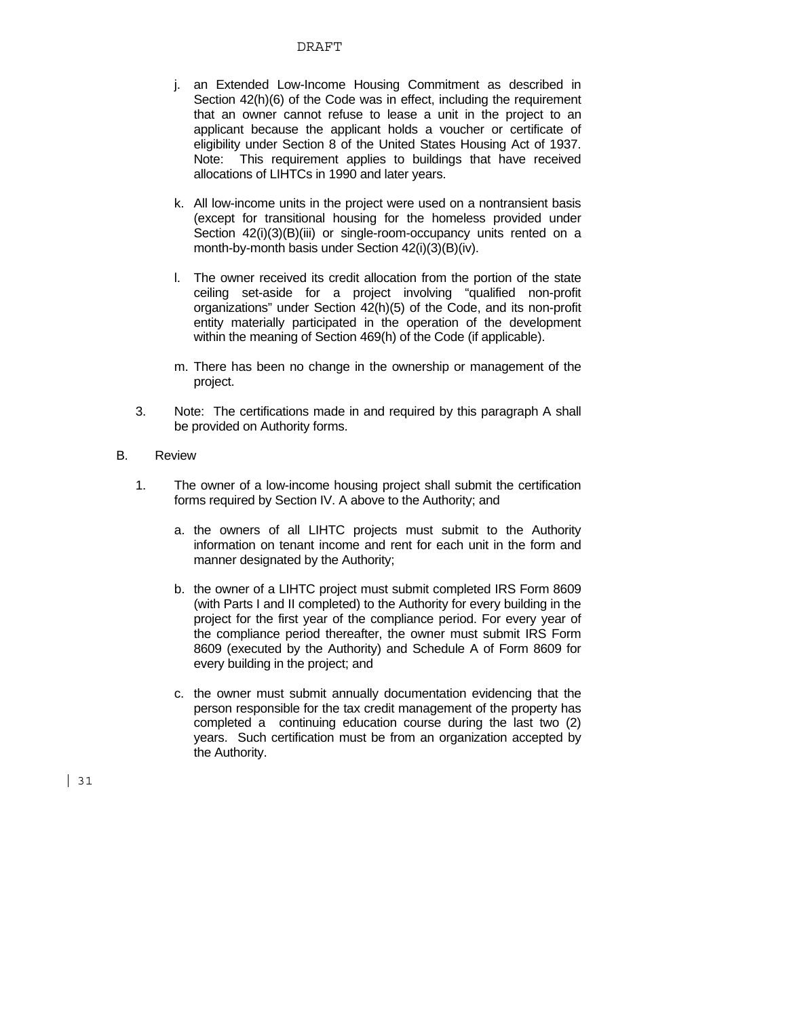- j. an Extended Low-Income Housing Commitment as described in Section 42(h)(6) of the Code was in effect, including the requirement that an owner cannot refuse to lease a unit in the project to an applicant because the applicant holds a voucher or certificate of eligibility under Section 8 of the United States Housing Act of 1937. Note: This requirement applies to buildings that have received allocations of LIHTCs in 1990 and later years.
- k. All low-income units in the project were used on a nontransient basis (except for transitional housing for the homeless provided under Section 42(i)(3)(B)(iii) or single-room-occupancy units rented on a month-by-month basis under Section 42(i)(3)(B)(iv).
- l. The owner received its credit allocation from the portion of the state ceiling set-aside for a project involving "qualified non-profit organizations" under Section 42(h)(5) of the Code, and its non-profit entity materially participated in the operation of the development within the meaning of Section 469(h) of the Code (if applicable).
- m. There has been no change in the ownership or management of the project.
- 3. Note: The certifications made in and required by this paragraph A shall be provided on Authority forms.
- B. Review
	- 1. The owner of a low-income housing project shall submit the certification forms required by Section IV. A above to the Authority; and
		- a. the owners of all LIHTC projects must submit to the Authority information on tenant income and rent for each unit in the form and manner designated by the Authority:
		- b. the owner of a LIHTC project must submit completed IRS Form 8609 (with Parts I and II completed) to the Authority for every building in the project for the first year of the compliance period. For every year of the compliance period thereafter, the owner must submit IRS Form 8609 (executed by the Authority) and Schedule A of Form 8609 for every building in the project; and
		- c. the owner must submit annually documentation evidencing that the person responsible for the tax credit management of the property has completed a continuing education course during the last two (2) years. Such certification must be from an organization accepted by the Authority.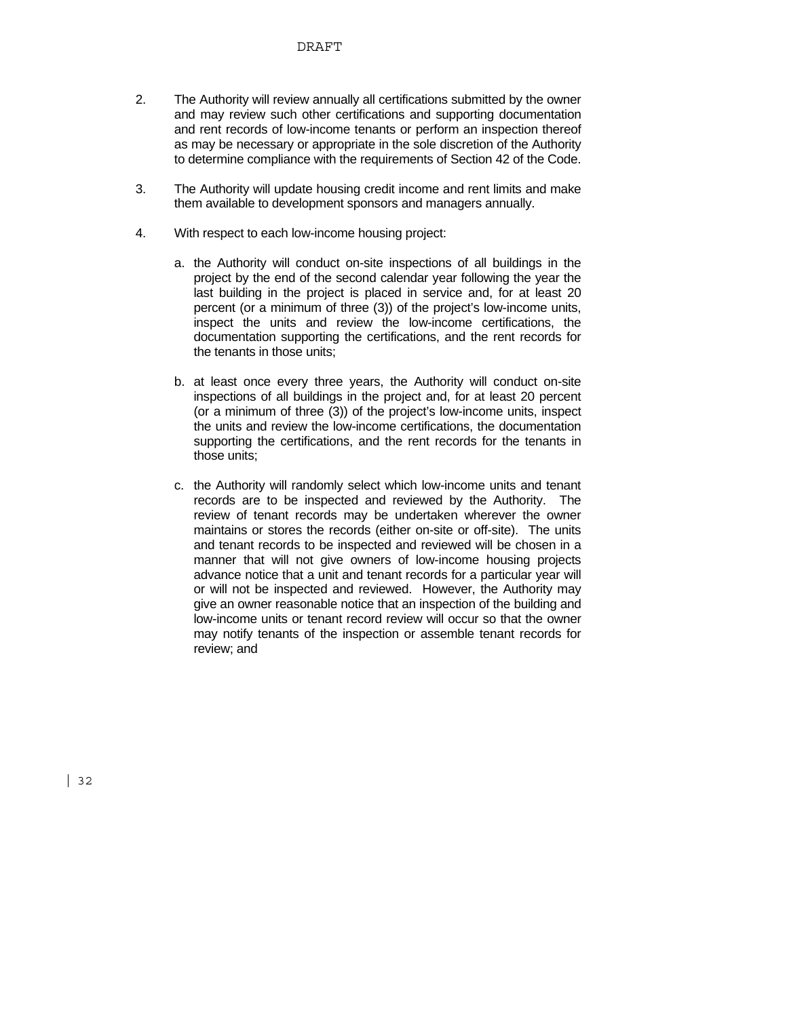- 2. The Authority will review annually all certifications submitted by the owner and may review such other certifications and supporting documentation and rent records of low-income tenants or perform an inspection thereof as may be necessary or appropriate in the sole discretion of the Authority to determine compliance with the requirements of Section 42 of the Code.
- 3. The Authority will update housing credit income and rent limits and make them available to development sponsors and managers annually.
- 4. With respect to each low-income housing project:
	- a. the Authority will conduct on-site inspections of all buildings in the project by the end of the second calendar year following the year the last building in the project is placed in service and, for at least 20 percent (or a minimum of three (3)) of the project's low-income units, inspect the units and review the low-income certifications, the documentation supporting the certifications, and the rent records for the tenants in those units;
	- b. at least once every three years, the Authority will conduct on-site inspections of all buildings in the project and, for at least 20 percent (or a minimum of three (3)) of the project's low-income units, inspect the units and review the low-income certifications, the documentation supporting the certifications, and the rent records for the tenants in those units;
	- c. the Authority will randomly select which low-income units and tenant records are to be inspected and reviewed by the Authority. The review of tenant records may be undertaken wherever the owner maintains or stores the records (either on-site or off-site). The units and tenant records to be inspected and reviewed will be chosen in a manner that will not give owners of low-income housing projects advance notice that a unit and tenant records for a particular year will or will not be inspected and reviewed. However, the Authority may give an owner reasonable notice that an inspection of the building and low-income units or tenant record review will occur so that the owner may notify tenants of the inspection or assemble tenant records for review; and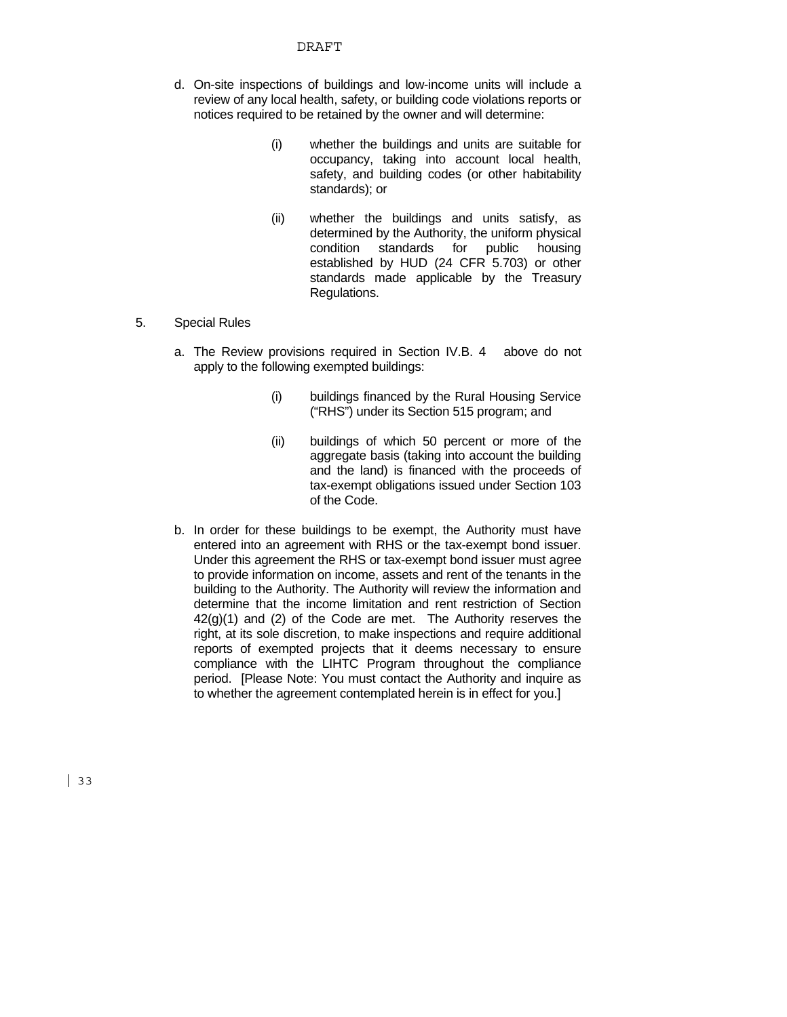- d. On-site inspections of buildings and low-income units will include a review of any local health, safety, or building code violations reports or notices required to be retained by the owner and will determine:
	- (i) whether the buildings and units are suitable for occupancy, taking into account local health, safety, and building codes (or other habitability standards); or
	- (ii) whether the buildings and units satisfy, as determined by the Authority, the uniform physical condition standards for public housing established by HUD (24 CFR 5.703) or other standards made applicable by the Treasury Regulations.
- 5. Special Rules
	- a. The Review provisions required in Section IV.B. 4 above do not apply to the following exempted buildings:
		- (i) buildings financed by the Rural Housing Service ("RHS") under its Section 515 program; and
		- (ii) buildings of which 50 percent or more of the aggregate basis (taking into account the building and the land) is financed with the proceeds of tax-exempt obligations issued under Section 103 of the Code.
	- b. In order for these buildings to be exempt, the Authority must have entered into an agreement with RHS or the tax-exempt bond issuer. Under this agreement the RHS or tax-exempt bond issuer must agree to provide information on income, assets and rent of the tenants in the building to the Authority. The Authority will review the information and determine that the income limitation and rent restriction of Section  $42(g)(1)$  and (2) of the Code are met. The Authority reserves the right, at its sole discretion, to make inspections and require additional reports of exempted projects that it deems necessary to ensure compliance with the LIHTC Program throughout the compliance period. [Please Note: You must contact the Authority and inquire as to whether the agreement contemplated herein is in effect for you.]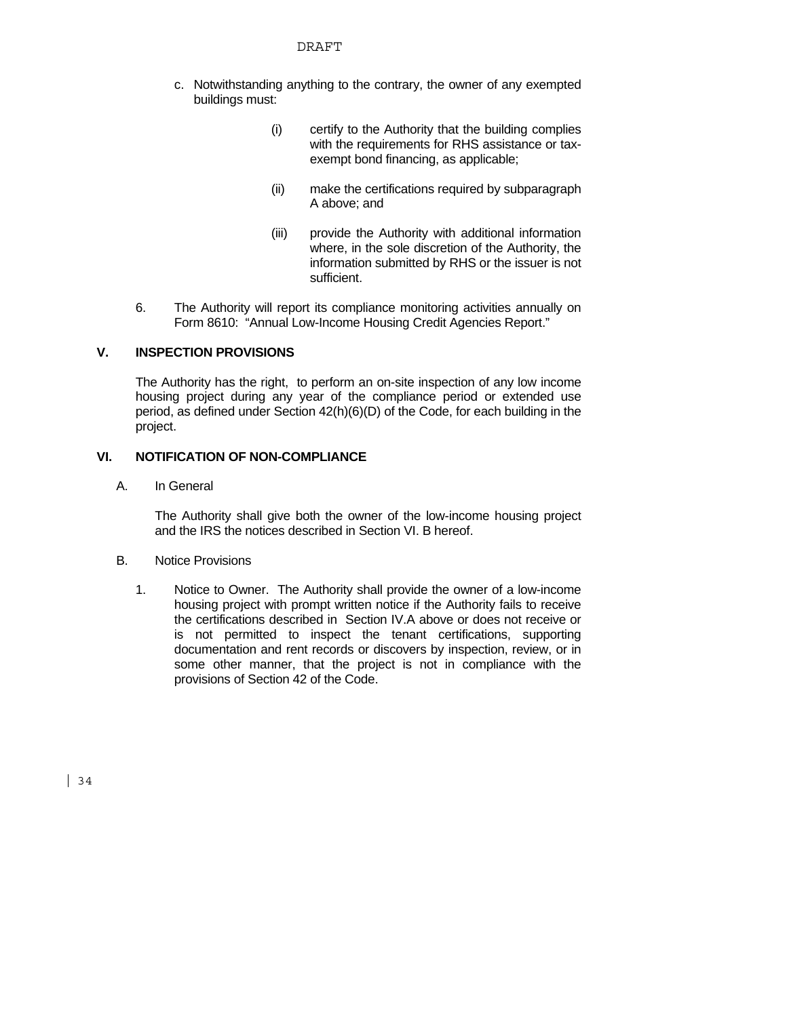- c. Notwithstanding anything to the contrary, the owner of any exempted buildings must:
	- (i) certify to the Authority that the building complies with the requirements for RHS assistance or taxexempt bond financing, as applicable;
	- (ii) make the certifications required by subparagraph A above; and
	- (iii) provide the Authority with additional information where, in the sole discretion of the Authority, the information submitted by RHS or the issuer is not sufficient.
- 6. The Authority will report its compliance monitoring activities annually on Form 8610: "Annual Low-Income Housing Credit Agencies Report."

### **V. INSPECTION PROVISIONS**

The Authority has the right, to perform an on-site inspection of any low income housing project during any year of the compliance period or extended use period, as defined under Section 42(h)(6)(D) of the Code, for each building in the project.

### **VI. NOTIFICATION OF NON-COMPLIANCE**

A. In General

The Authority shall give both the owner of the low-income housing project and the IRS the notices described in Section VI. B hereof.

## B. Notice Provisions

1. Notice to Owner. The Authority shall provide the owner of a low-income housing project with prompt written notice if the Authority fails to receive the certifications described in Section IV.A above or does not receive or is not permitted to inspect the tenant certifications, supporting documentation and rent records or discovers by inspection, review, or in some other manner, that the project is not in compliance with the provisions of Section 42 of the Code.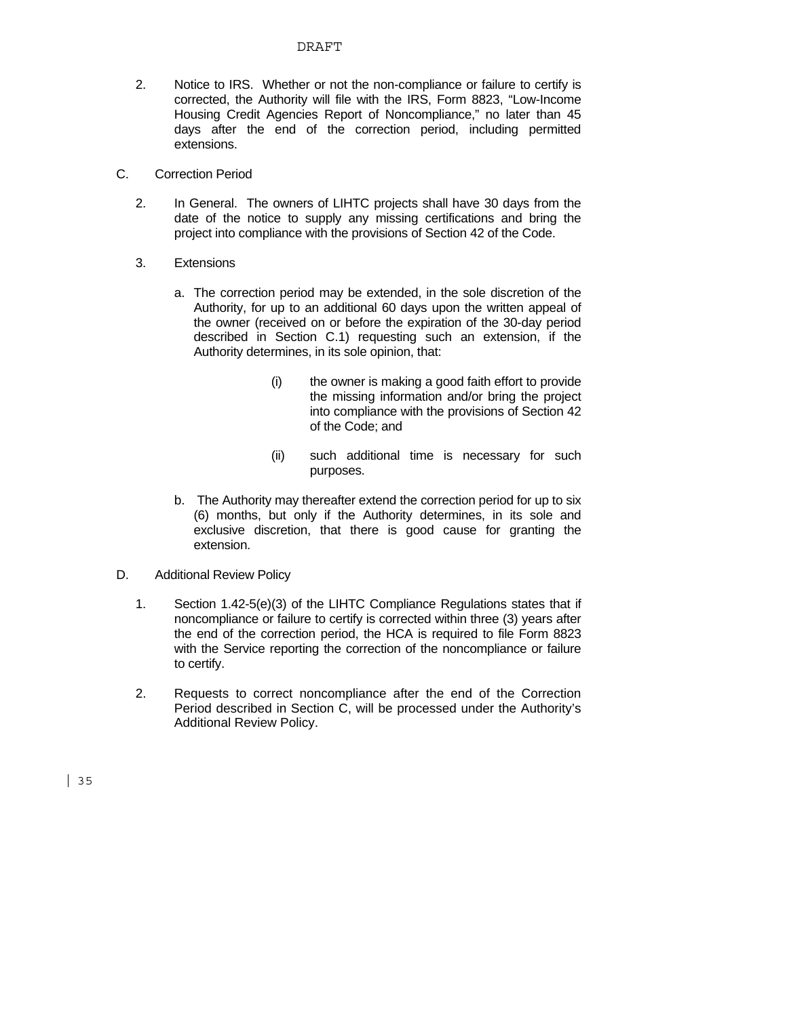- 2. Notice to IRS. Whether or not the non-compliance or failure to certify is corrected, the Authority will file with the IRS, Form 8823, "Low-Income Housing Credit Agencies Report of Noncompliance," no later than 45 days after the end of the correction period, including permitted extensions.
- C. Correction Period
	- 2. In General. The owners of LIHTC projects shall have 30 days from the date of the notice to supply any missing certifications and bring the project into compliance with the provisions of Section 42 of the Code.
	- 3. Extensions
		- a. The correction period may be extended, in the sole discretion of the Authority, for up to an additional 60 days upon the written appeal of the owner (received on or before the expiration of the 30-day period described in Section C.1) requesting such an extension, if the Authority determines, in its sole opinion, that:
			- (i) the owner is making a good faith effort to provide the missing information and/or bring the project into compliance with the provisions of Section 42 of the Code; and
			- (ii) such additional time is necessary for such purposes.
		- b. The Authority may thereafter extend the correction period for up to six (6) months, but only if the Authority determines, in its sole and exclusive discretion, that there is good cause for granting the extension.
- D. Additional Review Policy
	- 1. Section 1.42-5(e)(3) of the LIHTC Compliance Regulations states that if noncompliance or failure to certify is corrected within three (3) years after the end of the correction period, the HCA is required to file Form 8823 with the Service reporting the correction of the noncompliance or failure to certify.
	- 2. Requests to correct noncompliance after the end of the Correction Period described in Section C, will be processed under the Authority's Additional Review Policy.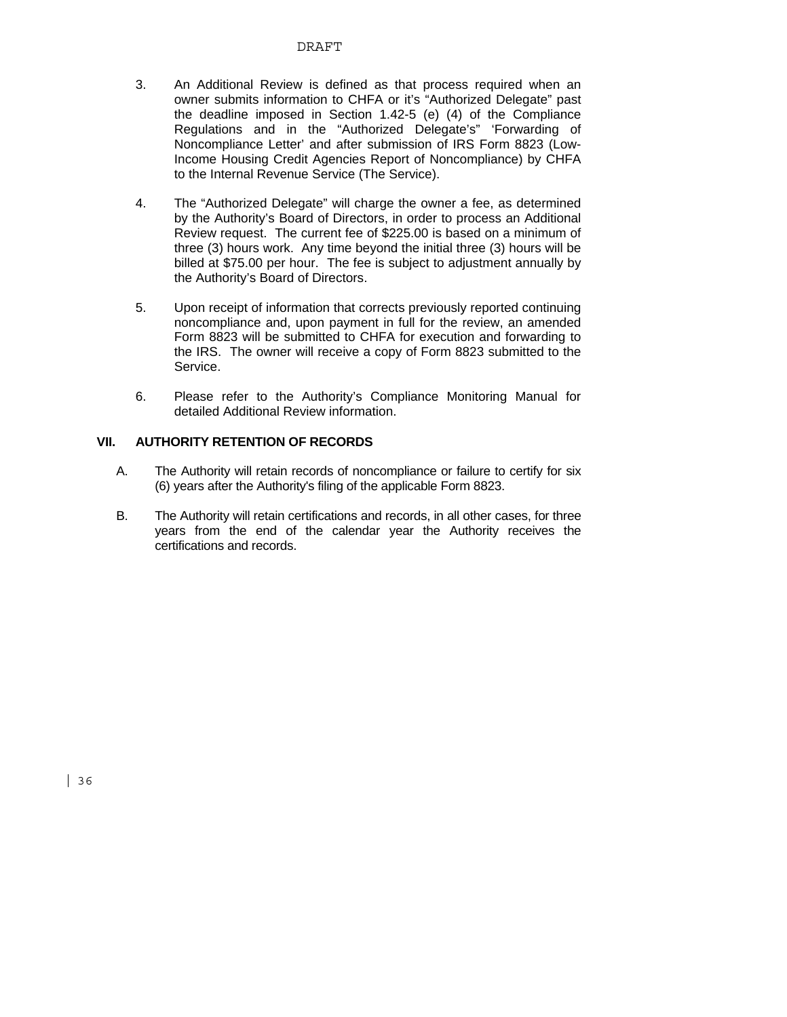- 3. An Additional Review is defined as that process required when an owner submits information to CHFA or it's "Authorized Delegate" past the deadline imposed in Section 1.42-5 (e) (4) of the Compliance Regulations and in the "Authorized Delegate's" 'Forwarding of Noncompliance Letter' and after submission of IRS Form 8823 (Low-Income Housing Credit Agencies Report of Noncompliance) by CHFA to the Internal Revenue Service (The Service).
- 4. The "Authorized Delegate" will charge the owner a fee, as determined by the Authority's Board of Directors, in order to process an Additional Review request. The current fee of \$225.00 is based on a minimum of three (3) hours work. Any time beyond the initial three (3) hours will be billed at \$75.00 per hour. The fee is subject to adjustment annually by the Authority's Board of Directors.
- 5. Upon receipt of information that corrects previously reported continuing noncompliance and, upon payment in full for the review, an amended Form 8823 will be submitted to CHFA for execution and forwarding to the IRS. The owner will receive a copy of Form 8823 submitted to the Service.
- 6. Please refer to the Authority's Compliance Monitoring Manual for detailed Additional Review information.

## **VII. AUTHORITY RETENTION OF RECORDS**

- A. The Authority will retain records of noncompliance or failure to certify for six (6) years after the Authority's filing of the applicable Form 8823.
- B. The Authority will retain certifications and records, in all other cases, for three years from the end of the calendar year the Authority receives the certifications and records.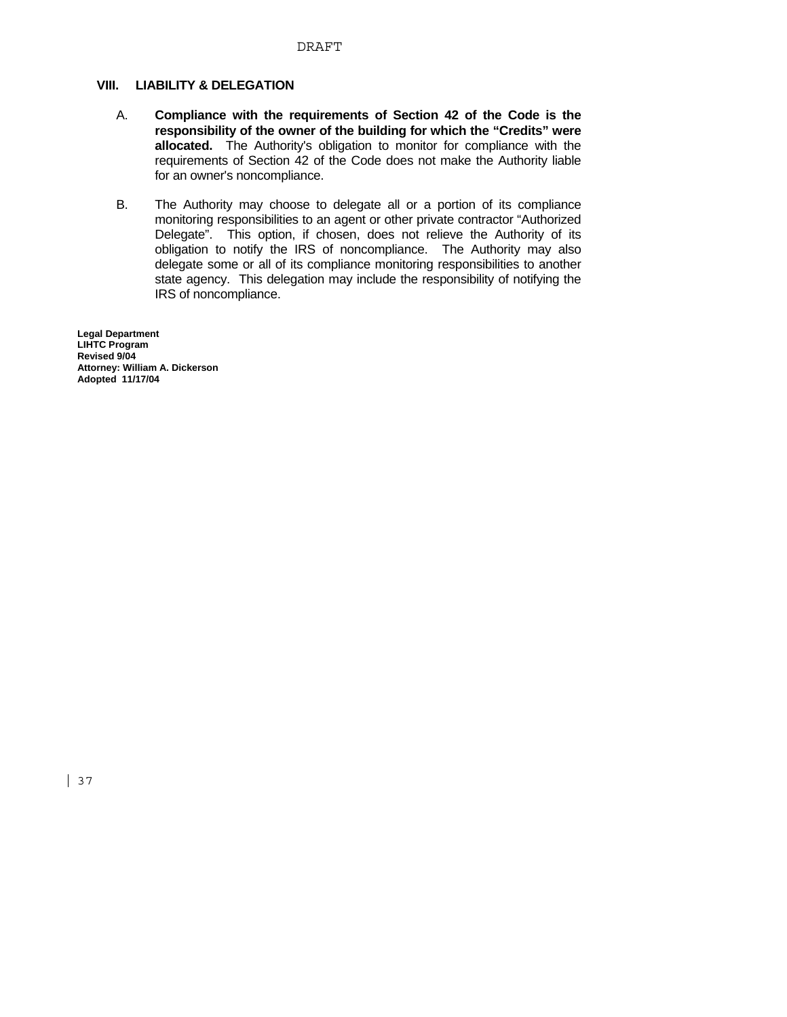### **VIII. LIABILITY & DELEGATION**

- A. **Compliance with the requirements of Section 42 of the Code is the responsibility of the owner of the building for which the "Credits" were allocated.** The Authority's obligation to monitor for compliance with the requirements of Section 42 of the Code does not make the Authority liable for an owner's noncompliance.
- B. The Authority may choose to delegate all or a portion of its compliance monitoring responsibilities to an agent or other private contractor "Authorized Delegate". This option, if chosen, does not relieve the Authority of its obligation to notify the IRS of noncompliance. The Authority may also delegate some or all of its compliance monitoring responsibilities to another state agency. This delegation may include the responsibility of notifying the IRS of noncompliance.

**Legal Department LIHTC Program Revised 9/04 Attorney: William A. Dickerson Adopted 11/17/04**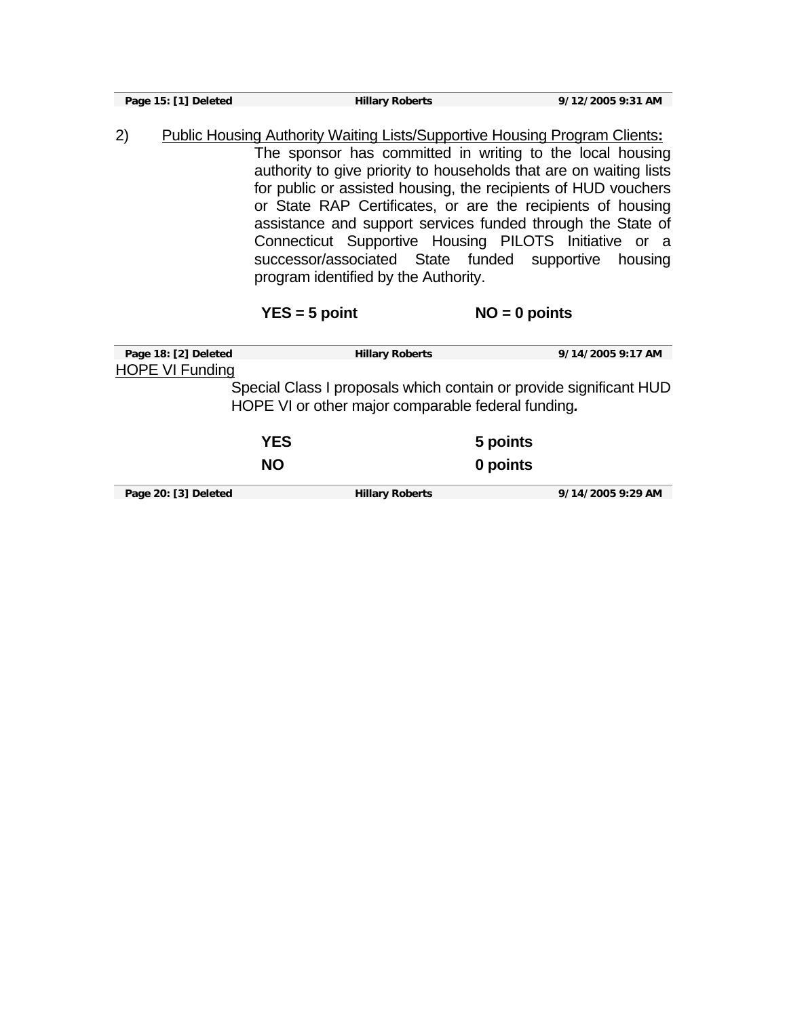| Page 15: [1] Deleted   | <b>Hillary Roberts</b>                                                                                                                                                                                                                                                                                                                                                                                                                                                                                                                                                        |                      | 9/12/2005 9:31 AM |
|------------------------|-------------------------------------------------------------------------------------------------------------------------------------------------------------------------------------------------------------------------------------------------------------------------------------------------------------------------------------------------------------------------------------------------------------------------------------------------------------------------------------------------------------------------------------------------------------------------------|----------------------|-------------------|
| 2)                     | <u>Public Housing Authority Waiting Lists/Supportive Housing Program Clients:</u><br>The sponsor has committed in writing to the local housing<br>authority to give priority to households that are on waiting lists<br>for public or assisted housing, the recipients of HUD vouchers<br>or State RAP Certificates, or are the recipients of housing<br>assistance and support services funded through the State of<br>Connecticut Supportive Housing PILOTS Initiative or a<br>successor/associated State funded supportive housing<br>program identified by the Authority. |                      |                   |
|                        | $YES = 5$ point                                                                                                                                                                                                                                                                                                                                                                                                                                                                                                                                                               |                      | $NO = 0$ points   |
|                        |                                                                                                                                                                                                                                                                                                                                                                                                                                                                                                                                                                               |                      |                   |
| Page 18: [2] Deleted   | <b>Hillary Roberts</b>                                                                                                                                                                                                                                                                                                                                                                                                                                                                                                                                                        |                      | 9/14/2005 9:17 AM |
| <b>HOPE VI Funding</b> | Special Class I proposals which contain or provide significant HUD<br>HOPE VI or other major comparable federal funding.                                                                                                                                                                                                                                                                                                                                                                                                                                                      |                      |                   |
|                        |                                                                                                                                                                                                                                                                                                                                                                                                                                                                                                                                                                               |                      |                   |
|                        | <b>YES</b><br><b>NO</b>                                                                                                                                                                                                                                                                                                                                                                                                                                                                                                                                                       | 5 points<br>0 points |                   |

**Page 20: [3] Deleted Hillary Roberts 9/14/2005 9:29 AM**